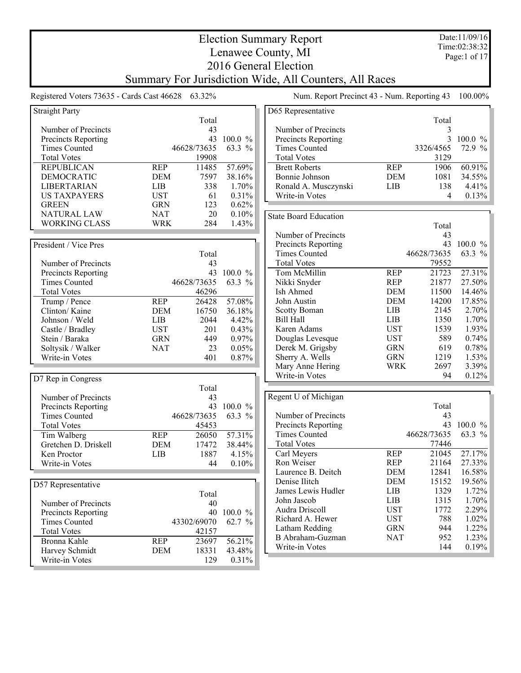Election Summary Report Lenawee County, MI 2016 General Election Summary For Jurisdiction Wide, All Counters, All Races Date:11/09/16

Time:02:38:32 Page:1 of 17

## Registered Voters 73635 - Cards Cast 46628 63.32% Num. Report Precinct 43 - Num. Reporting 43 100.00% Straight Party Total Number of Precincts 43 Precincts Reporting 43 100.0 % Times Counted 46628/73635 63.3 % Total Votes 19908 REPUBLICAN REP 11485 57.69% DEMOCRATIC DEM 7597 38.16%<br>LIBERTARIAN LIB 338 1.70% LIBERTARIAN LIB 338 1.70%<br>USTAXPAYERS UST 61 0.31% US TAXPAYERS UST 61 0.31% GREEN GRN 123 0.62% GREEN GRN 123 0.62%<br>NATURAL LAW NAT 20 0.10% NATURAL LAW NAT 20<br>WORKING CLASS WRK 284 WORKING CLASS WRK 284 1.43% President / Vice Pres Total<br>43 Number of Precincts<br>
Precincts Reporting<br>  $43$  100.0 %<br>  $43$  100.0 % Precincts Reporting Times Counted 46628/73635 63.3 % Total Votes 46296<br>
Trump / Pence REP 26428 Trump / Pence REP 26428 57.08% Clinton/ Kaine **DEM** 16750 36.18%<br>Johnson / Weld LIB 2044 4.42% Johnson / Weld LIB 2044 4.42% Castle / Bradley UST 201 0.43% Stein / Baraka GRN 449 0.97% Soltysik / Walker MAT 23 0.05%<br>Write-in Votes 401 0.87% Write-in Votes 401 0.87% D7 Rep in Congress Total<br>43 Number of Precincts<br>
Precincts Reporting<br>  $43$  100.0 %<br>  $43$  100.0 % Precincts Reporting  $43 \t100.0 \%$ <br>Times Counted  $46628/73635 \t63.3 \%$ Times Counted Total Votes 45453 Tim Walberg **REP** 26050 57.31%<br>Gretchen D. Driskell **DEM** 17472 38.44% Gretchen D. Driskell DEM 17472 38.44%<br>
Ken Proctor LIB 1887 4.15% Ken Proctor Write-in Votes 44 0.10% D57 Representative Total Number of Precincts 40 Precincts Reporting 40 100.0 % Times Counted 43302/69070 62.7 % Total Votes 42157 Bronna Kahle REP 23697 56.21% Harvey Schmidt<br>
Write-in Votes<br>
18331 43.48%<br>
129 0.31% Write-in Votes

| D65 Representative   |            |           |            |
|----------------------|------------|-----------|------------|
|                      |            | Total     |            |
| Number of Precincts  |            | 3         |            |
| Precincts Reporting  |            | 3         | $100.0 \%$ |
| <b>Times Counted</b> |            | 3326/4565 | 72.9%      |
| <b>Total Votes</b>   |            | 3129      |            |
| <b>Brett Roberts</b> | <b>REP</b> | 1906      | 60.91%     |
| Bonnie Johnson       | <b>DEM</b> | 1081      | 34.55%     |
| Ronald A. Musczynski | LIB        | 138       | 4.41%      |
| Write-in Votes       |            | 4         | 0.13%      |

State Board Education

|                            |            | Total       |                        |
|----------------------------|------------|-------------|------------------------|
| Number of Precincts        |            | 43          |                        |
| <b>Precincts Reporting</b> |            | 43          | 100.0<br>$\frac{0}{0}$ |
| <b>Times Counted</b>       |            | 46628/73635 | $63.3\%$               |
| <b>Total Votes</b>         |            | 79552       |                        |
| Tom McMillin               | <b>REP</b> | 21723       | 27.31%                 |
| Nikki Snyder               | <b>REP</b> | 21877       | 27.50%                 |
| Ish Ahmed                  | <b>DEM</b> | 11500       | 14.46%                 |
| John Austin                | <b>DEM</b> | 14200       | 17.85%                 |
| <b>Scotty Boman</b>        | LIB        | 2145        | 2.70%                  |
| Bill Hall                  | LIB        | 1350        | 1.70%                  |
| Karen Adams                | <b>UST</b> | 1539        | 1.93%                  |
| Douglas Levesque           | UST        | 589         | $0.74\%$               |
| Derek M. Grigsby           | <b>GRN</b> | 619         | 0.78%                  |
| Sherry A. Wells            | <b>GRN</b> | 1219        | 1.53%                  |
| Mary Anne Hering           | WRK        | 2697        | 3.39%                  |
| Write-in Votes             |            | 94          | 0.12%                  |

|            | Total |             |
|------------|-------|-------------|
|            | 43    |             |
|            | 43    | $100.0 \%$  |
|            |       | 63.3 %      |
|            | 77446 |             |
| <b>REP</b> | 21045 | 27.17%      |
| <b>REP</b> | 21164 | 27.33%      |
| DEM        | 12841 | 16.58%      |
| DEM        | 15152 | 19.56%      |
| LIB        | 1329  | 1.72%       |
| LIB        | 1315  | 1.70%       |
| <b>UST</b> | 1772  | 2.29%       |
| UST        | 788   | 1.02%       |
| <b>GRN</b> | 944   | $1.22\%$    |
| <b>NAT</b> | 952   | 1.23%       |
|            | 144   | 0.19%       |
|            |       | 46628/73635 |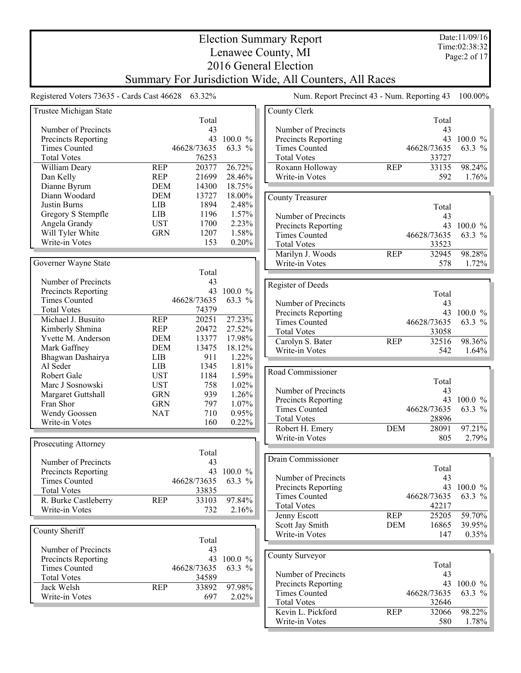Date:11/09/16 Time:02:38:32 Page:2 of 17

## Election Summary Report Lenawee County, MI 2016 General Election Summary For Jurisdiction Wide, All Counters, All Races

Registered Voters 73635 - Cards Cast 46628 63.32% Num. Report Precinct 43 - Num. Reporting 43 100.00%

| Trustee Michigan State |                     |            | County Clerk            |                     |            |
|------------------------|---------------------|------------|-------------------------|---------------------|------------|
|                        | Total               |            |                         | Total               |            |
| Number of Precincts    | 43                  |            | Number of Precincts     | 43                  |            |
| Precincts Reporting    | 43                  | 100.0 %    | Precincts Reporting     |                     | 43 100.0 % |
| <b>Times Counted</b>   | 46628/73635         | 63.3 %     | <b>Times Counted</b>    | 46628/73635         | 63.3 %     |
| <b>Total Votes</b>     | 76253               |            | <b>Total Votes</b>      | 33727               |            |
| William Deary          | 20377<br><b>REP</b> | 26.72%     | Roxann Holloway         | <b>REP</b><br>33135 | 98.24%     |
| Dan Kelly              | <b>REP</b><br>21699 | 28.46%     | Write-in Votes          | 592                 | 1.76%      |
| Dianne Byrum           | <b>DEM</b><br>14300 | 18.75%     |                         |                     |            |
|                        |                     |            |                         |                     |            |
| Diann Woodard          | <b>DEM</b><br>13727 | 18.00%     | <b>County Treasurer</b> |                     |            |
| Justin Burns           | 1894<br><b>LIB</b>  | 2.48%      |                         | Total               |            |
| Gregory S Stempfle     | <b>LIB</b><br>1196  | 1.57%      | Number of Precincts     | 43                  |            |
| Angela Grandy          | <b>UST</b><br>1700  | 2.23%      | Precincts Reporting     |                     | 43 100.0 % |
| Will Tyler White       | <b>GRN</b><br>1207  | 1.58%      | <b>Times Counted</b>    | 46628/73635         | 63.3 %     |
| Write-in Votes         | 153                 | 0.20%      | <b>Total Votes</b>      | 33523               |            |
|                        |                     |            | Marilyn J. Woods        | 32945<br><b>REP</b> | 98.28%     |
| Governer Wayne State   |                     |            | Write-in Votes          | 578                 | 1.72%      |
|                        | Total               |            |                         |                     |            |
| Number of Precincts    | 43                  |            |                         |                     |            |
| Precincts Reporting    | 43                  | 100.0 %    | Register of Deeds       |                     |            |
| <b>Times Counted</b>   | 46628/73635         | 63.3 %     |                         | Total               |            |
|                        |                     |            | Number of Precincts     | 43                  |            |
| <b>Total Votes</b>     | 74379               |            | Precincts Reporting     |                     | 43 100.0 % |
| Michael J. Busuito     | 20251<br><b>REP</b> | 27.23%     | <b>Times Counted</b>    | 46628/73635         | 63.3 %     |
| Kimberly Shmina        | <b>REP</b><br>20472 | 27.52%     | <b>Total Votes</b>      | 33058               |            |
| Yvette M. Anderson     | <b>DEM</b><br>13377 | 17.98%     | Carolyn S. Bater        | 32516<br><b>REP</b> | 98.36%     |
| Mark Gaffney           | <b>DEM</b><br>13475 | 18.12%     | Write-in Votes          | 542                 | 1.64%      |
| Bhagwan Dashairya      | <b>LIB</b><br>911   | 1.22%      |                         |                     |            |
| Al Seder               | <b>LIB</b><br>1345  | 1.81%      |                         |                     |            |
| Robert Gale            | <b>UST</b><br>1184  | 1.59%      | Road Commissioner       |                     |            |
| Marc J Sosnowski       | <b>UST</b><br>758   | 1.02%      |                         | Total               |            |
| Margaret Guttshall     | <b>GRN</b><br>939   | 1.26%      | Number of Precincts     | 43                  |            |
| Fran Shor              | <b>GRN</b><br>797   | 1.07%      | Precincts Reporting     |                     | 43 100.0 % |
| Wendy Goossen          | 710<br><b>NAT</b>   | 0.95%      | <b>Times Counted</b>    | 46628/73635         | 63.3 %     |
| Write-in Votes         | 160                 | 0.22%      | <b>Total Votes</b>      | 28896               |            |
|                        |                     |            | Robert H. Emery         | <b>DEM</b><br>28091 | 97.21%     |
|                        |                     |            | Write-in Votes          | 805                 | 2.79%      |
| Prosecuting Attorney   |                     |            |                         |                     |            |
|                        | Total               |            |                         |                     |            |
| Number of Precincts    | 43                  |            | Drain Commissioner      |                     |            |
| Precincts Reporting    | 43                  | $100.0 \%$ |                         | Total               |            |
| <b>Times Counted</b>   | 46628/73635         | 63.3 %     | Number of Precincts     | 43                  |            |
| <b>Total Votes</b>     | 33835               |            | Precincts Reporting     |                     | 43 100.0 % |
| R. Burke Castleberry   | <b>REP</b><br>33103 | 97.84%     | <b>Times Counted</b>    | 46628/73635         | 63.3 %     |
| Write-in Votes         | 732                 | 2.16%      | <b>Total Votes</b>      | 42217               |            |
|                        |                     |            | Jenny Escott            | <b>REP</b><br>25205 | 59.70%     |
|                        |                     |            | Scott Jay Smith         | <b>DEM</b><br>16865 | 39.95%     |
| County Sheriff         |                     |            | Write-in Votes          | 147                 | 0.35%      |
|                        | Total               |            |                         |                     |            |
| Number of Precincts    | 43                  |            |                         |                     |            |
| Precincts Reporting    |                     | 43 100.0 % | County Surveyor         |                     |            |
| <b>Times Counted</b>   | 46628/73635         | 63.3 %     |                         | Total               |            |
| <b>Total Votes</b>     | 34589               |            | Number of Precincts     | 43                  |            |
| Jack Welsh             | <b>REP</b><br>33892 | 97.98%     | Precincts Reporting     | 43                  | $100.0 \%$ |
| Write-in Votes         | 697                 | 2.02%      | <b>Times Counted</b>    | 46628/73635         | 63.3 %     |
|                        |                     |            | <b>Total Votes</b>      | 32646               |            |
|                        |                     |            | Kevin L. Pickford       | <b>REP</b><br>32066 | 98.22%     |
|                        |                     |            | Write-in Votes          | 580                 | 1.78%      |
|                        |                     |            |                         |                     |            |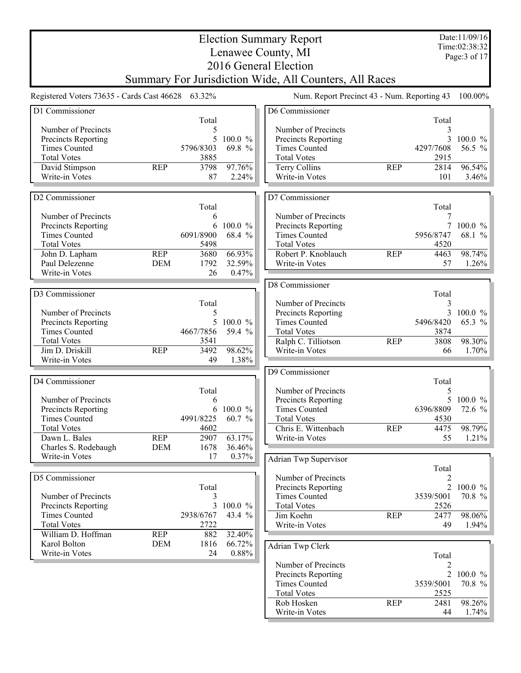|                                                    | <b>Election Summary Report</b> |                |                   |                                                        |            |                |                                |  |
|----------------------------------------------------|--------------------------------|----------------|-------------------|--------------------------------------------------------|------------|----------------|--------------------------------|--|
|                                                    |                                |                |                   | Lenawee County, MI                                     |            |                | Time:02:38:32<br>Page: 3 of 17 |  |
|                                                    |                                |                |                   | 2016 General Election                                  |            |                |                                |  |
|                                                    |                                |                |                   | Summary For Jurisdiction Wide, All Counters, All Races |            |                |                                |  |
| Registered Voters 73635 - Cards Cast 46628 63.32%  |                                |                |                   | Num. Report Precinct 43 - Num. Reporting 43            |            |                | 100.00%                        |  |
| D1 Commissioner                                    |                                |                |                   | D6 Commissioner                                        |            |                |                                |  |
|                                                    |                                | Total          |                   |                                                        |            | Total          |                                |  |
| Number of Precincts                                |                                | 5              |                   | Number of Precincts                                    |            | 3              |                                |  |
| <b>Precincts Reporting</b><br><b>Times Counted</b> |                                | 5<br>5796/8303 | 100.0 %<br>69.8 % | Precincts Reporting<br><b>Times Counted</b>            |            | 3<br>4297/7608 | $100.0 \%$<br>56.5 %           |  |
| <b>Total Votes</b>                                 |                                | 3885           |                   | <b>Total Votes</b>                                     |            | 2915           |                                |  |
| David Stimpson                                     | <b>REP</b>                     | 3798           | 97.76%            | Terry Collins                                          | <b>REP</b> | 2814           | 96.54%                         |  |
| Write-in Votes                                     |                                | 87             | 2.24%             | Write-in Votes                                         |            | 101            | 3.46%                          |  |
|                                                    |                                |                |                   |                                                        |            |                |                                |  |
| D2 Commissioner                                    |                                |                |                   | D7 Commissioner                                        |            |                |                                |  |
|                                                    |                                | Total          |                   |                                                        |            | Total          |                                |  |
| Number of Precincts                                |                                | 6              |                   | Number of Precincts                                    |            | 7              |                                |  |
| Precincts Reporting                                |                                | 6              | 100.0 %           | Precincts Reporting                                    |            | $\tau$         | $100.0 \%$                     |  |
| <b>Times Counted</b>                               |                                | 6091/8900      | 68.4 %            | <b>Times Counted</b>                                   |            | 5956/8747      | 68.1 %                         |  |
| <b>Total Votes</b>                                 |                                | 5498           |                   | <b>Total Votes</b>                                     |            | 4520           |                                |  |
| John D. Lapham                                     | <b>REP</b>                     | 3680           | $66.93\%$         | Robert P. Knoblauch                                    | <b>REP</b> | 4463           | 98.74%                         |  |
| Paul Delezenne                                     | <b>DEM</b>                     | 1792           | 32.59%            | Write-in Votes                                         |            | 57             | 1.26%                          |  |
| Write-in Votes                                     |                                | 26             | 0.47%             |                                                        |            |                |                                |  |
|                                                    |                                |                |                   | D8 Commissioner                                        |            |                |                                |  |
| D3 Commissioner                                    |                                |                |                   |                                                        |            | Total          |                                |  |
|                                                    |                                | Total          |                   | Number of Precincts                                    |            | 3              |                                |  |
| Number of Precincts                                |                                | 5              |                   | Precincts Reporting                                    |            | 3              | $100.0 \%$                     |  |
| Precincts Reporting                                |                                | 5              | 100.0 %           | <b>Times Counted</b>                                   |            | 5496/8420      | 65.3 %                         |  |
| <b>Times Counted</b>                               |                                | 4667/7856      | 59.4 %            | <b>Total Votes</b>                                     |            | 3874           |                                |  |
| <b>Total Votes</b>                                 |                                | 3541           |                   | Ralph C. Tilliotson                                    | <b>REP</b> | 3808           | 98.30%                         |  |
| Jim D. Driskill                                    | <b>REP</b>                     | 3492           | 98.62%            | Write-in Votes                                         |            | 66             | 1.70%                          |  |
| Write-in Votes                                     |                                | 49             | 1.38%             |                                                        |            |                |                                |  |
|                                                    |                                |                |                   | D9 Commissioner                                        |            |                |                                |  |
| D4 Commissioner                                    |                                | Total          |                   | Number of Precincts                                    |            | Total<br>5     |                                |  |
| Number of Precincts                                |                                | 6              |                   | Precincts Reporting                                    |            | 5              | $100.0 \%$                     |  |
| Precincts Reporting                                |                                | 6              | 100.0 %           | <b>Times Counted</b>                                   |            | 6396/8809      | 72.6 %                         |  |
| <b>Times Counted</b>                               |                                | 4991/8225      | 60.7 $%$          | <b>Total Votes</b>                                     |            | 4530           |                                |  |
| <b>Total Votes</b>                                 |                                | 4602           |                   | Chris E. Wittenbach                                    | <b>REP</b> | 4475           | 98.79%                         |  |
| Dawn L. Bales                                      | <b>REP</b>                     | 2907           | 63.17%            | Write-in Votes                                         |            | 55             | 1.21%                          |  |
| Charles S. Rodebaugh                               | <b>DEM</b>                     | 1678           | 36.46%            |                                                        |            |                |                                |  |
| Write-in Votes                                     |                                | 17             | 0.37%             | Adrian Twp Supervisor                                  |            |                |                                |  |
|                                                    |                                |                |                   |                                                        |            | Total          |                                |  |
| D5 Commissioner                                    |                                |                |                   | Number of Precincts                                    |            | $\overline{2}$ |                                |  |
|                                                    |                                | Total          |                   | Precincts Reporting                                    |            |                | 2 100.0 %                      |  |
| Number of Precincts                                |                                | 3              |                   | <b>Times Counted</b>                                   |            | 3539/5001      | 70.8 %                         |  |
| Precincts Reporting                                |                                | 3              | 100.0 %           | <b>Total Votes</b>                                     |            | 2526           |                                |  |
| <b>Times Counted</b>                               |                                | 2938/6767      | 43.4 %            | Jim Koehn                                              | <b>REP</b> | 2477           | 98.06%                         |  |
| <b>Total Votes</b>                                 |                                | 2722           |                   | Write-in Votes                                         |            | 49             | 1.94%                          |  |
| William D. Hoffman                                 | <b>REP</b>                     | 882            | 32.40%            |                                                        |            |                |                                |  |
| Karol Bolton                                       | <b>DEM</b>                     | 1816           | 66.72%            | Adrian Twp Clerk                                       |            |                |                                |  |
| Write-in Votes                                     |                                | 24             | $0.88\%$          |                                                        |            | Total          |                                |  |
|                                                    |                                |                |                   | Number of Precincts                                    |            | 2              |                                |  |
|                                                    |                                |                |                   | Precincts Reporting                                    |            | $\overline{2}$ | $100.0 \%$                     |  |
|                                                    |                                |                |                   | <b>Times Counted</b>                                   |            | 3539/5001      | 70.8 %                         |  |
|                                                    |                                |                |                   | <b>Total Votes</b>                                     |            | 2525           |                                |  |
|                                                    |                                |                |                   | Rob Hosken                                             | <b>REP</b> | 2481           | 98.26%                         |  |
|                                                    |                                |                |                   | Write-in Votes                                         |            | 44             | 1.74%                          |  |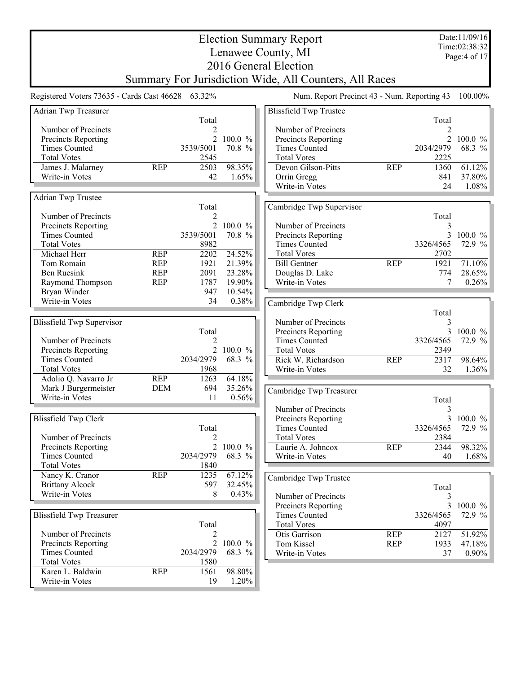|                                                   |                          |                |                        | <b>Election Summary Report</b><br>Lenawee County, MI   |            |                   | Date:11/09/16<br>Time:02:38:32 |
|---------------------------------------------------|--------------------------|----------------|------------------------|--------------------------------------------------------|------------|-------------------|--------------------------------|
|                                                   |                          |                |                        | 2016 General Election                                  |            |                   | Page: 4 of 17                  |
|                                                   |                          |                |                        | Summary For Jurisdiction Wide, All Counters, All Races |            |                   |                                |
| Registered Voters 73635 - Cards Cast 46628 63.32% |                          |                |                        | Num. Report Precinct 43 - Num. Reporting 43            |            |                   | 100.00%                        |
| Adrian Twp Treasurer                              |                          |                |                        | <b>Blissfield Twp Trustee</b>                          |            |                   |                                |
|                                                   |                          | Total          |                        |                                                        |            | Total             |                                |
| Number of Precincts                               |                          | 2              |                        | Number of Precincts                                    |            | 2                 |                                |
| Precincts Reporting<br><b>Times Counted</b>       |                          | 3539/5001      | 2 100.0 %<br>70.8 %    | Precincts Reporting<br><b>Times Counted</b>            |            | 2034/2979         | 2 100.0 %<br>68.3 %            |
| <b>Total Votes</b>                                |                          | 2545           |                        | <b>Total Votes</b>                                     |            | 2225              |                                |
| James J. Malarney                                 | <b>REP</b>               | 2503           | 98.35%                 | Devon Gilson-Pitts                                     | <b>REP</b> | 1360              | 61.12%                         |
| Write-in Votes                                    |                          | 42             | 1.65%                  | Orrin Gregg                                            |            | 841               | 37.80%                         |
|                                                   |                          |                |                        | Write-in Votes                                         |            | 24                | 1.08%                          |
| <b>Adrian Twp Trustee</b>                         |                          |                |                        |                                                        |            |                   |                                |
| Number of Precincts                               |                          | Total<br>2     |                        | Cambridge Twp Supervisor                               |            | Total             |                                |
| Precincts Reporting                               |                          |                | 2 100.0 %              | Number of Precincts                                    |            | 3                 |                                |
| <b>Times Counted</b>                              |                          | 3539/5001      | 70.8 %                 | Precincts Reporting                                    |            | 3                 | $100.0 \%$                     |
| <b>Total Votes</b>                                |                          | 8982           |                        | <b>Times Counted</b>                                   |            | 3326/4565         | 72.9 %                         |
| Michael Herr                                      | <b>REP</b>               | 2202           | 24.52%                 | <b>Total Votes</b>                                     |            | 2702              |                                |
| Tom Romain                                        | <b>REP</b>               | 1921           | 21.39%                 | <b>Bill Gentner</b>                                    | <b>REP</b> | 1921              | 71.10%                         |
| <b>Ben Ruesink</b><br>Raymond Thompson            | <b>REP</b><br><b>REP</b> | 2091<br>1787   | 23.28%<br>19.90%       | Douglas D. Lake<br>Write-in Votes                      |            | 774<br>7          | 28.65%<br>0.26%                |
| Bryan Winder                                      |                          | 947            | 10.54%                 |                                                        |            |                   |                                |
| Write-in Votes                                    |                          | 34             | 0.38%                  | Cambridge Twp Clerk                                    |            |                   |                                |
|                                                   |                          |                |                        |                                                        |            | Total             |                                |
| <b>Blissfield Twp Supervisor</b>                  |                          |                |                        | Number of Precincts                                    |            | 3                 |                                |
|                                                   |                          | Total          |                        | Precincts Reporting<br><b>Times Counted</b>            |            | 3                 | 100.0%                         |
| Number of Precincts<br>Precincts Reporting        |                          | 2              | 2 100.0 %              | <b>Total Votes</b>                                     |            | 3326/4565<br>2349 | 72.9 %                         |
| <b>Times Counted</b>                              |                          | 2034/2979      | 68.3 %                 | Rick W. Richardson                                     | <b>REP</b> | 2317              | 98.64%                         |
| <b>Total Votes</b>                                |                          | 1968           |                        | Write-in Votes                                         |            | 32                | 1.36%                          |
| Adolio Q. Navarro Jr                              | <b>REP</b>               | 1263           | 64.18%                 |                                                        |            |                   |                                |
| Mark J Burgermeister                              | <b>DEM</b>               | 694            | 35.26%                 | Cambridge Twp Treasurer                                |            |                   |                                |
| Write-in Votes                                    |                          | 11             | $0.56\%$               |                                                        |            | Total             |                                |
|                                                   |                          |                |                        | Number of Precincts                                    |            | 3                 |                                |
| <b>Blissfield Twp Clerk</b>                       |                          | Total          |                        | Precincts Reporting<br><b>Times Counted</b>            |            | 3326/4565         | 3 100.0 %<br>72.9 %            |
| Number of Precincts                               |                          |                |                        | <b>Total Votes</b>                                     |            | 2384              |                                |
| Precincts Reporting                               |                          | $\overline{2}$ | $100.0 \%$             | Laurie A. Johncox                                      | <b>REP</b> | 2344              | 98.32%                         |
| <b>Times Counted</b>                              |                          | 2034/2979      | 68.3 %                 | Write-in Votes                                         |            | 40                | 1.68%                          |
| <b>Total Votes</b>                                |                          | 1840           |                        |                                                        |            |                   |                                |
| Nancy K. Cranor<br><b>Brittany Alcock</b>         | <b>REP</b>               | 1235<br>597    | 67.12%<br>32.45%       | Cambridge Twp Trustee                                  |            |                   |                                |
| Write-in Votes                                    |                          | 8              | 0.43%                  | Number of Precincts                                    |            | Total<br>3        |                                |
|                                                   |                          |                |                        | Precincts Reporting                                    |            | 3                 | $100.0 \%$                     |
| <b>Blissfield Twp Treasurer</b>                   |                          |                |                        | <b>Times Counted</b>                                   |            | 3326/4565         | 72.9 %                         |
|                                                   |                          | Total          |                        | <b>Total Votes</b>                                     |            | 4097              |                                |
| Number of Precincts                               |                          | 2              |                        | Otis Garrison                                          | <b>REP</b> | 2127              | 51.92%                         |
| Precincts Reporting<br><b>Times Counted</b>       |                          | 2034/2979      | 2 100.0 $\%$<br>68.3 % | Tom Kissel                                             | <b>REP</b> | 1933              | 47.18%                         |
| <b>Total Votes</b>                                |                          | 1580           |                        | Write-in Votes                                         |            | 37                | $0.90\%$                       |
| Karen L. Baldwin                                  | <b>REP</b>               | 1561           | 98.80%                 |                                                        |            |                   |                                |
| Write-in Votes                                    |                          | 19             | 1.20%                  |                                                        |            |                   |                                |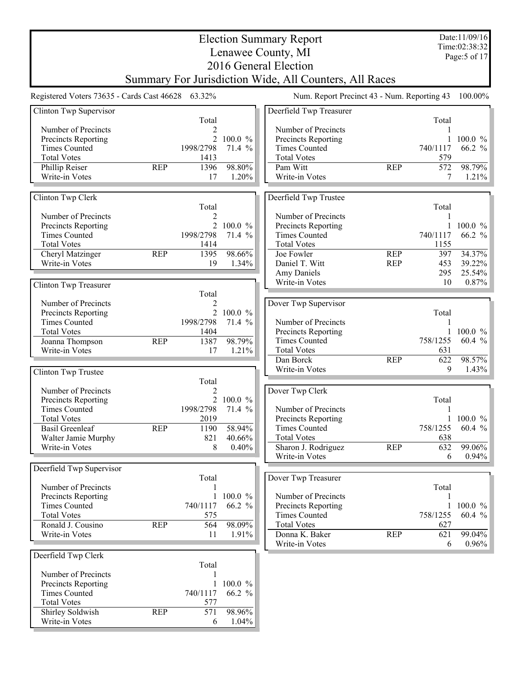|                                                   |            |                |                       | <b>Election Summary Report</b>                         |            |            | Date:11/09/16<br>Time:02:38:32 |
|---------------------------------------------------|------------|----------------|-----------------------|--------------------------------------------------------|------------|------------|--------------------------------|
|                                                   |            |                |                       | Lenawee County, MI                                     |            |            | Page: 5 of 17                  |
|                                                   |            |                |                       | 2016 General Election                                  |            |            |                                |
|                                                   |            |                |                       | Summary For Jurisdiction Wide, All Counters, All Races |            |            |                                |
| Registered Voters 73635 - Cards Cast 46628 63.32% |            |                |                       | Num. Report Precinct 43 - Num. Reporting 43            |            |            | 100.00%                        |
| Clinton Twp Supervisor                            |            |                |                       | Deerfield Twp Treasurer                                |            |            |                                |
|                                                   |            | Total          |                       |                                                        |            | Total      |                                |
| Number of Precincts                               |            | 2              |                       | Number of Precincts                                    |            |            |                                |
| Precincts Reporting                               |            | $\overline{2}$ | 100.0 %               | Precincts Reporting                                    |            |            | 100.0 %                        |
| <b>Times Counted</b>                              |            | 1998/2798      | 71.4 %                | <b>Times Counted</b>                                   |            | 740/1117   | 66.2 $%$                       |
| <b>Total Votes</b>                                |            | 1413           |                       | <b>Total Votes</b>                                     |            | 579        |                                |
| Phillip Reiser                                    | <b>REP</b> | 1396           | 98.80%                | Pam Witt                                               | <b>REP</b> | 572        | 98.79%                         |
| Write-in Votes                                    |            | 17             | 1.20%                 | Write-in Votes                                         |            | 7          | 1.21%                          |
| Clinton Twp Clerk                                 |            |                |                       | Deerfield Twp Trustee                                  |            |            |                                |
|                                                   |            | Total          |                       |                                                        |            | Total      |                                |
| Number of Precincts                               |            | 2              |                       | Number of Precincts                                    |            |            |                                |
| Precincts Reporting                               |            | $\overline{2}$ | $100.0 \%$            | Precincts Reporting                                    |            |            | $100.0 \%$                     |
| <b>Times Counted</b>                              |            | 1998/2798      | 71.4 %                | <b>Times Counted</b>                                   |            | 740/1117   | 66.2 %                         |
| <b>Total Votes</b>                                |            | 1414           |                       | <b>Total Votes</b>                                     |            | 1155       |                                |
| Cheryl Matzinger                                  | <b>REP</b> | 1395           | 98.66%                | Joe Fowler                                             | <b>REP</b> | 397        | 34.37%                         |
| Write-in Votes                                    |            | 19             | 1.34%                 | Daniel T. Witt<br>Amy Daniels                          | <b>REP</b> | 453<br>295 | 39.22%<br>25.54%               |
|                                                   |            |                |                       | Write-in Votes                                         |            | 10         | 0.87%                          |
| Clinton Twp Treasurer                             |            | Total          |                       |                                                        |            |            |                                |
| Number of Precincts                               |            | 2              |                       | Dover Twp Supervisor                                   |            |            |                                |
| Precincts Reporting                               |            |                | 2 100.0 %             |                                                        |            | Total      |                                |
| <b>Times Counted</b>                              |            | 1998/2798      | 71.4 %                | Number of Precincts                                    |            |            |                                |
| <b>Total Votes</b>                                |            | 1404           |                       | Precincts Reporting                                    |            |            | 100.0 $%$                      |
| Joanna Thompson                                   | <b>REP</b> | 1387           | 98.79%                | <b>Times Counted</b>                                   |            | 758/1255   | 60.4 %                         |
| Write-in Votes                                    |            | 17             | 1.21%                 | <b>Total Votes</b>                                     |            | 631        |                                |
|                                                   |            |                |                       | Dan Borck                                              | <b>REP</b> | 622        | 98.57%                         |
| Clinton Twp Trustee                               |            |                |                       | Write-in Votes                                         |            | 9          | 1.43%                          |
|                                                   |            | Total          |                       |                                                        |            |            |                                |
| Number of Precincts                               |            | 2              |                       | Dover Twp Clerk                                        |            |            |                                |
| Precincts Reporting                               |            | $\overline{2}$ | 100.0<br>$\%$         |                                                        |            | Total      |                                |
| <b>Times Counted</b>                              |            | 1998/2798      | 71.4<br>$\frac{0}{0}$ | Number of Precincts                                    |            | 1          |                                |
| <b>Total Votes</b>                                |            | 2019           |                       | Precincts Reporting                                    |            | 1          | $100.0 \%$                     |
| <b>Basil Greenleaf</b>                            | <b>REP</b> | 1190           | 58.94%                | <b>Times Counted</b>                                   |            | 758/1255   | $60.4 \%$                      |
| Walter Jamie Murphy<br>Write-in Votes             |            | 821            | 40.66%<br>0.40%       | <b>Total Votes</b>                                     |            | 638        |                                |
|                                                   |            | 8              |                       | Sharon J. Rodriguez<br>Write-in Votes                  | <b>REP</b> | 632<br>6   | 99.06%<br>$0.94\%$             |
| Deerfield Twp Supervisor                          |            |                |                       |                                                        |            |            |                                |
|                                                   |            | Total          |                       | Dover Twp Treasurer                                    |            |            |                                |
| Number of Precincts                               |            |                |                       |                                                        |            | Total      |                                |
| Precincts Reporting                               |            | 1              | 100.0 %               | Number of Precincts                                    |            |            |                                |
| <b>Times Counted</b>                              |            | 740/1117       | 66.2 %                | Precincts Reporting                                    |            | 1          | $100.0 \%$                     |
| <b>Total Votes</b>                                |            | 575            |                       | <b>Times Counted</b>                                   |            | 758/1255   | 60.4 %                         |
| Ronald J. Cousino                                 | <b>REP</b> | 564            | 98.09%                | <b>Total Votes</b>                                     |            | 627        |                                |
| Write-in Votes                                    |            | 11             | 1.91%                 | Donna K. Baker                                         | <b>REP</b> | 621        | 99.04%                         |
|                                                   |            |                |                       | Write-in Votes                                         |            | 6          | $0.96\%$                       |
| Deerfield Twp Clerk                               |            |                |                       |                                                        |            |            |                                |
|                                                   |            | Total          |                       |                                                        |            |            |                                |
| Number of Precincts<br><b>Precincts Reporting</b> |            |                | 100.0 %               |                                                        |            |            |                                |
| <b>Times Counted</b>                              |            | 740/1117       | 66.2 %                |                                                        |            |            |                                |
| <b>Total Votes</b>                                |            | 577            |                       |                                                        |            |            |                                |
| Shirley Soldwish                                  | <b>REP</b> | 571            | 98.96%                |                                                        |            |            |                                |
| Write-in Votes                                    |            | 6              | 1.04%                 |                                                        |            |            |                                |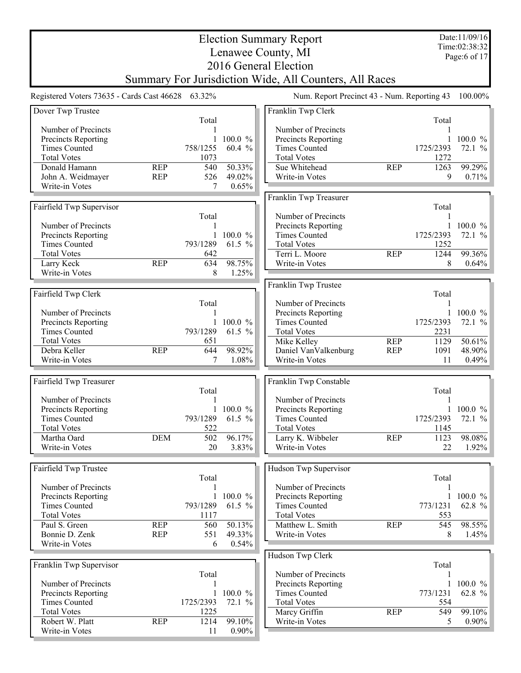|                                                   |            |                 |             | <b>Election Summary Report</b><br>Lenawee County, MI                            |            |              | Date:11/09/16<br>Time:02:38:32<br>Page:6 of 17 |
|---------------------------------------------------|------------|-----------------|-------------|---------------------------------------------------------------------------------|------------|--------------|------------------------------------------------|
|                                                   |            |                 |             | 2016 General Election<br>Summary For Jurisdiction Wide, All Counters, All Races |            |              |                                                |
| Registered Voters 73635 - Cards Cast 46628 63.32% |            |                 |             | Num. Report Precinct 43 - Num. Reporting 43                                     |            |              | 100.00%                                        |
| Dover Twp Trustee                                 |            |                 |             | Franklin Twp Clerk                                                              |            |              |                                                |
| Number of Precincts                               |            | Total           |             | Number of Precincts                                                             |            | Total        |                                                |
| Precincts Reporting                               |            |                 | 100.0 %     | Precincts Reporting                                                             |            |              | $100.0 \%$                                     |
| <b>Times Counted</b>                              |            | 758/1255        | 60.4 %      | <b>Times Counted</b>                                                            |            | 1725/2393    | 72.1 %                                         |
| <b>Total Votes</b>                                |            | 1073            |             | <b>Total Votes</b>                                                              |            | 1272         |                                                |
| Donald Hamann                                     | <b>REP</b> | 540             | 50.33%      | Sue Whitehead                                                                   | <b>REP</b> | 1263         | 99.29%                                         |
| John A. Weidmayer                                 | <b>REP</b> | 526             | 49.02%      | Write-in Votes                                                                  |            | 9            | 0.71%                                          |
| Write-in Votes                                    |            | 7               | 0.65%       | Franklin Twp Treasurer                                                          |            |              |                                                |
| Fairfield Twp Supervisor                          |            |                 |             |                                                                                 |            | Total        |                                                |
|                                                   |            | Total           |             | Number of Precincts                                                             |            | 1            |                                                |
| Number of Precincts                               |            | 1               |             | Precincts Reporting                                                             |            |              | 1 100.0 $\%$                                   |
| Precincts Reporting                               |            | $\mathbf{1}$    | 100.0 %     | <b>Times Counted</b>                                                            |            | 1725/2393    | 72.1 %                                         |
| <b>Times Counted</b>                              |            | 793/1289        | 61.5 %      | <b>Total Votes</b>                                                              |            | 1252         |                                                |
| <b>Total Votes</b><br>Larry Keck                  | <b>REP</b> | 642<br>634      | 98.75%      | Terri L. Moore<br>Write-in Votes                                                | <b>REP</b> | 1244<br>8    | 99.36%<br>$0.64\%$                             |
| Write-in Votes                                    |            | 8               | 1.25%       |                                                                                 |            |              |                                                |
|                                                   |            |                 |             | Franklin Twp Trustee                                                            |            |              |                                                |
| Fairfield Twp Clerk                               |            |                 |             |                                                                                 |            | Total        |                                                |
|                                                   |            | Total           |             | Number of Precincts                                                             |            | 1            |                                                |
| Number of Precincts                               |            |                 |             | Precincts Reporting                                                             |            | $\mathbf{1}$ | 100.0 $%$                                      |
| Precincts Reporting                               |            | 1               | $100.0 \%$  | <b>Times Counted</b>                                                            |            | 1725/2393    | 72.1 %                                         |
| <b>Times Counted</b><br><b>Total Votes</b>        |            | 793/1289<br>651 | 61.5 %      | <b>Total Votes</b><br>Mike Kelley                                               | <b>REP</b> | 2231<br>1129 | 50.61%                                         |
| Debra Keller                                      | <b>REP</b> | 644             | 98.92%      | Daniel VanValkenburg                                                            | <b>REP</b> | 1091         | 48.90%                                         |
| Write-in Votes                                    |            | 7               | 1.08%       | Write-in Votes                                                                  |            | 11           | $0.49\%$                                       |
|                                                   |            |                 |             |                                                                                 |            |              |                                                |
| Fairfield Twp Treasurer                           |            |                 |             | Franklin Twp Constable                                                          |            |              |                                                |
|                                                   |            | Total           |             |                                                                                 |            | Total        |                                                |
| Number of Precincts                               |            |                 | 1 100.0 $%$ | Number of Precincts                                                             |            |              | 1 100.0 $\%$                                   |
| Precincts Reporting<br><b>Times Counted</b>       |            | 793/1289        | 61.5 $%$    | Precincts Reporting<br><b>Times Counted</b>                                     |            | 1725/2393    | 72.1 %                                         |
| <b>Total Votes</b>                                |            | 522             |             | <b>Total Votes</b>                                                              |            | 1145         |                                                |
| Martha Oard                                       | <b>DEM</b> | 502             | 96.17%      | Larry K. Wibbeler                                                               | <b>REP</b> | 1123         | 98.08%                                         |
| Write-in Votes                                    |            | 20              | 3.83%       | Write-in Votes                                                                  |            | 22           | 1.92%                                          |
|                                                   |            |                 |             |                                                                                 |            |              |                                                |
| Fairfield Twp Trustee                             |            |                 |             | Hudson Twp Supervisor                                                           |            |              |                                                |
| Number of Precincts                               |            | Total<br>1      |             | Number of Precincts                                                             |            | Total<br>1   |                                                |
| Precincts Reporting                               |            | $\mathbf{1}$    | 100.0 %     | Precincts Reporting                                                             |            | $\mathbf{1}$ | 100.0 %                                        |
| <b>Times Counted</b>                              |            | 793/1289        | 61.5 %      | <b>Times Counted</b>                                                            |            | 773/1231     | 62.8 %                                         |
| <b>Total Votes</b>                                |            | 1117            |             | <b>Total Votes</b>                                                              |            | 553          |                                                |
| Paul S. Green                                     | <b>REP</b> | 560             | 50.13%      | Matthew L. Smith                                                                | <b>REP</b> | 545          | 98.55%                                         |
| Bonnie D. Zenk                                    | <b>REP</b> | 551             | 49.33%      | Write-in Votes                                                                  |            | 8            | 1.45%                                          |
| Write-in Votes                                    |            | 6               | 0.54%       |                                                                                 |            |              |                                                |
|                                                   |            |                 |             | Hudson Twp Clerk                                                                |            |              |                                                |
| Franklin Twp Supervisor                           |            | Total           |             | Number of Precincts                                                             |            | Total<br>1   |                                                |
| Number of Precincts                               |            |                 |             | Precincts Reporting                                                             |            | 1            | $100.0 \%$                                     |
| Precincts Reporting                               |            | $\mathbf{1}$    | 100.0 %     | <b>Times Counted</b>                                                            |            | 773/1231     | 62.8 %                                         |
| <b>Times Counted</b>                              |            | 1725/2393       | 72.1 %      | <b>Total Votes</b>                                                              |            | 554          |                                                |
| <b>Total Votes</b>                                |            | 1225            |             | Marcy Griffin                                                                   | <b>REP</b> | 549          | 99.10%                                         |
| Robert W. Platt                                   | <b>REP</b> | 1214            | 99.10%      | Write-in Votes                                                                  |            | 5            | $0.90\%$                                       |
| Write-in Votes                                    |            | 11              | $0.90\%$    |                                                                                 |            |              |                                                |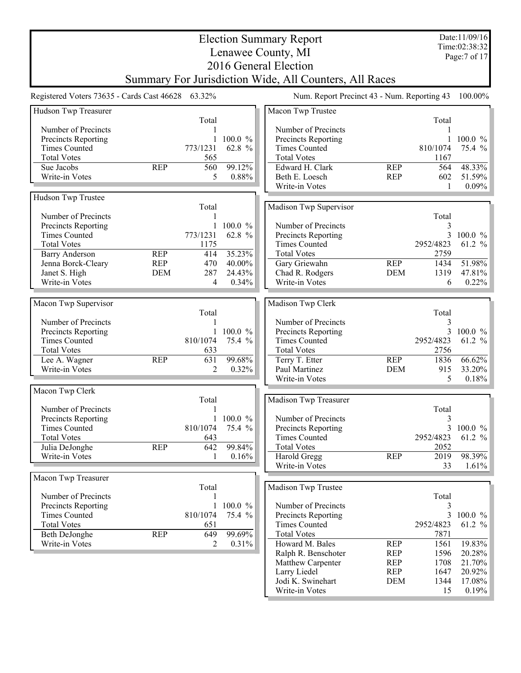|                                                   |                          |            |                  | <b>Election Summary Report</b>                         |                          |                | Date:11/09/16<br>Time:02:38:32 |
|---------------------------------------------------|--------------------------|------------|------------------|--------------------------------------------------------|--------------------------|----------------|--------------------------------|
|                                                   |                          |            |                  | Lenawee County, MI                                     |                          |                | Page: 7 of 17                  |
|                                                   |                          |            |                  | 2016 General Election                                  |                          |                |                                |
|                                                   |                          |            |                  | Summary For Jurisdiction Wide, All Counters, All Races |                          |                |                                |
| Registered Voters 73635 - Cards Cast 46628 63.32% |                          |            |                  | Num. Report Precinct 43 - Num. Reporting 43            |                          |                | 100.00%                        |
| Hudson Twp Treasurer                              |                          |            |                  | Macon Twp Trustee                                      |                          |                |                                |
|                                                   |                          | Total      |                  |                                                        |                          | Total          |                                |
| Number of Precincts                               |                          |            |                  | Number of Precincts                                    |                          |                |                                |
| <b>Precincts Reporting</b>                        |                          |            | 100.0 %          | Precincts Reporting                                    |                          |                | 1 100.0 $\%$                   |
| <b>Times Counted</b>                              |                          | 773/1231   | 62.8 %           | <b>Times Counted</b>                                   |                          | 810/1074       | 75.4 %                         |
| <b>Total Votes</b>                                |                          | 565        |                  | <b>Total Votes</b>                                     |                          | 1167           |                                |
| Sue Jacobs                                        | <b>REP</b>               | 560        | 99.12%           | Edward H. Clark                                        | <b>REP</b>               | 564            | 48.33%                         |
| Write-in Votes                                    |                          | 5          | 0.88%            | Beth E. Loesch                                         | <b>REP</b>               | 602            | 51.59%                         |
|                                                   |                          |            |                  | Write-in Votes                                         |                          | 1              | 0.09%                          |
| Hudson Twp Trustee                                |                          |            |                  |                                                        |                          |                |                                |
|                                                   |                          | Total      |                  | Madison Twp Supervisor                                 |                          |                |                                |
| Number of Precincts                               |                          |            |                  |                                                        |                          | Total          |                                |
| <b>Precincts Reporting</b>                        |                          |            | $100.0 \%$       | Number of Precincts                                    |                          | 3              |                                |
| <b>Times Counted</b>                              |                          | 773/1231   | 62.8 %           | Precincts Reporting                                    |                          | 3              | $100.0 \%$                     |
| <b>Total Votes</b>                                |                          | 1175       |                  | <b>Times Counted</b>                                   |                          | 2952/4823      | 61.2 %                         |
| <b>Barry Anderson</b>                             | <b>REP</b>               | 414        | 35.23%           | <b>Total Votes</b>                                     |                          | 2759           |                                |
| Jenna Borck-Cleary<br>Janet S. High               | <b>REP</b><br><b>DEM</b> | 470<br>287 | 40.00%<br>24.43% | Gary Griewahn                                          | <b>REP</b><br><b>DEM</b> | 1434<br>1319   | 51.98%<br>47.81%               |
| Write-in Votes                                    |                          | 4          | 0.34%            | Chad R. Rodgers<br>Write-in Votes                      |                          | 6              | 0.22%                          |
|                                                   |                          |            |                  |                                                        |                          |                |                                |
| Macon Twp Supervisor                              |                          |            |                  | Madison Twp Clerk                                      |                          |                |                                |
|                                                   |                          | Total      |                  |                                                        |                          | Total          |                                |
| Number of Precincts                               |                          |            |                  | Number of Precincts                                    |                          | 3              |                                |
| Precincts Reporting                               |                          | 1          | 100.0 %          | Precincts Reporting                                    |                          | $\overline{3}$ | $100.0 \%$                     |
| <b>Times Counted</b>                              |                          | 810/1074   | 75.4 %           | <b>Times Counted</b>                                   |                          | 2952/4823      | 61.2 %                         |
| <b>Total Votes</b>                                |                          | 633        |                  | <b>Total Votes</b>                                     |                          | 2756           |                                |
| Lee A. Wagner                                     | <b>REP</b>               | 631        | 99.68%           | Terry T. Etter                                         | <b>REP</b>               | 1836           | 66.62%                         |
| Write-in Votes                                    |                          | 2          | 0.32%            | Paul Martinez                                          | <b>DEM</b>               | 915            | 33.20%                         |
|                                                   |                          |            |                  | Write-in Votes                                         |                          | 5              | 0.18%                          |
| Macon Twp Clerk                                   |                          |            |                  |                                                        |                          |                |                                |
|                                                   |                          | Total      |                  | Madison Twp Treasurer                                  |                          |                |                                |
| Number of Precincts                               |                          |            |                  |                                                        |                          | Total          |                                |
| Precincts Reporting                               |                          |            | $100.0 \%$       | Number of Precincts                                    |                          | 3              |                                |
| <b>Times Counted</b>                              |                          | 810/1074   | 75.4 %           | Precincts Reporting                                    |                          | 3              | $100.0 \%$                     |
| <b>Total Votes</b>                                |                          | 643        |                  | <b>Times Counted</b>                                   |                          | 2952/4823      | 61.2 %                         |
| Julia DeJonghe                                    | <b>REP</b>               | 642        | 99.84%           | <b>Total Votes</b>                                     |                          | 2052           |                                |
| Write-in Votes                                    |                          | 1          | 0.16%            | Harold Gregg<br>Write-in Votes                         | <b>REP</b>               | 2019           | 98.39%<br>1.61%                |
|                                                   |                          |            |                  |                                                        |                          | 33             |                                |
| Macon Twp Treasurer                               |                          |            |                  |                                                        |                          |                |                                |
| Number of Precincts                               |                          | Total      |                  | Madison Twp Trustee                                    |                          | Total          |                                |
| Precincts Reporting                               |                          |            | 100.0 %          | Number of Precincts                                    |                          | 3              |                                |
| <b>Times Counted</b>                              |                          | 810/1074   | 75.4 %           | Precincts Reporting                                    |                          | 3              | $100.0 \%$                     |
| <b>Total Votes</b>                                |                          | 651        |                  | <b>Times Counted</b>                                   |                          | 2952/4823      | 61.2 %                         |
| Beth DeJonghe                                     | <b>REP</b>               | 649        | 99.69%           | <b>Total Votes</b>                                     |                          | 7871           |                                |
| Write-in Votes                                    |                          | 2          | 0.31%            | Howard M. Bales                                        | <b>REP</b>               | 1561           | 19.83%                         |
|                                                   |                          |            |                  | Ralph R. Benschoter                                    | <b>REP</b>               | 1596           | 20.28%                         |
|                                                   |                          |            |                  | Matthew Carpenter                                      | <b>REP</b>               | 1708           | 21.70%                         |
|                                                   |                          |            |                  | Larry Liedel                                           | <b>REP</b>               | 1647           | 20.92%                         |
|                                                   |                          |            |                  | Jodi K. Swinehart                                      | <b>DEM</b>               | 1344           | 17.08%                         |
|                                                   |                          |            |                  | Write-in Votes                                         |                          | 15             | 0.19%                          |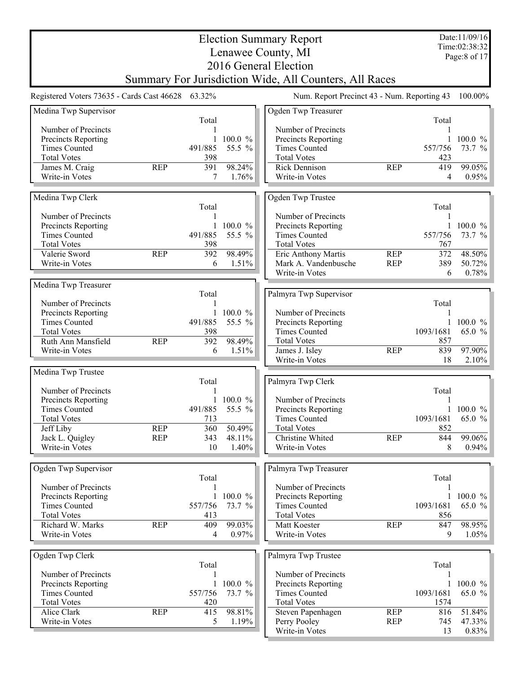|                                                   |                    | Date:11/09/16 |                       |                                                        |                          |                  |                               |
|---------------------------------------------------|--------------------|---------------|-----------------------|--------------------------------------------------------|--------------------------|------------------|-------------------------------|
|                                                   | Lenawee County, MI |               |                       |                                                        |                          |                  | Time:02:38:32<br>Page:8 of 17 |
|                                                   |                    |               |                       | 2016 General Election                                  |                          |                  |                               |
|                                                   |                    |               |                       | Summary For Jurisdiction Wide, All Counters, All Races |                          |                  |                               |
| Registered Voters 73635 - Cards Cast 46628 63.32% |                    |               |                       | Num. Report Precinct 43 - Num. Reporting 43            |                          |                  | 100.00%                       |
| Medina Twp Supervisor                             |                    |               |                       | Ogden Twp Treasurer                                    |                          |                  |                               |
|                                                   |                    | Total         |                       |                                                        |                          | Total            |                               |
| Number of Precincts<br>Precincts Reporting        |                    |               | 100.0 %               | Number of Precincts<br>Precincts Reporting             |                          |                  | 100.0 $%$                     |
| <b>Times Counted</b>                              |                    | 491/885       | 55.5 %                | <b>Times Counted</b>                                   |                          | 557/756          | 73.7 %                        |
| <b>Total Votes</b>                                |                    | 398           |                       | <b>Total Votes</b>                                     |                          | 423              |                               |
| James M. Craig                                    | <b>REP</b>         | 391           | 98.24%                | <b>Rick Dennison</b>                                   | <b>REP</b>               | 419              | 99.05%                        |
| Write-in Votes                                    |                    | 7             | 1.76%                 | Write-in Votes                                         |                          | 4                | $0.95\%$                      |
| Medina Twp Clerk                                  |                    |               |                       | Ogden Twp Trustee                                      |                          | Total            |                               |
| Number of Precincts                               |                    | Total         |                       | Number of Precincts                                    |                          |                  |                               |
| Precincts Reporting                               |                    | $\mathbf{1}$  | 100.0 %               | Precincts Reporting                                    |                          | 1                | 100.0 %                       |
| <b>Times Counted</b>                              |                    | 491/885       | 55.5 %                | <b>Times Counted</b>                                   |                          | 557/756          | 73.7 %                        |
| <b>Total Votes</b>                                |                    | 398           |                       | <b>Total Votes</b>                                     |                          | 767              |                               |
| Valerie Sword<br>Write-in Votes                   | <b>REP</b>         | 392<br>6      | 98.49%<br>1.51%       | Eric Anthony Martis<br>Mark A. Vandenbusche            | <b>REP</b><br><b>REP</b> | 372<br>389       | 48.50%<br>50.72%              |
|                                                   |                    |               |                       | Write-in Votes                                         |                          | 6                | 0.78%                         |
| Medina Twp Treasurer                              |                    |               |                       |                                                        |                          |                  |                               |
|                                                   |                    | Total         |                       | Palmyra Twp Supervisor                                 |                          |                  |                               |
| Number of Precincts                               |                    |               |                       |                                                        |                          | Total            |                               |
| Precincts Reporting<br><b>Times Counted</b>       |                    | 1<br>491/885  | 100.0 %<br>55.5 %     | Number of Precincts<br>Precincts Reporting             |                          |                  | 100.0 $%$                     |
| <b>Total Votes</b>                                |                    | 398           |                       | <b>Times Counted</b>                                   |                          | 1093/1681        | 65.0 $%$                      |
| Ruth Ann Mansfield                                | <b>REP</b>         | 392           | 98.49%                | <b>Total Votes</b>                                     |                          | 857              |                               |
| Write-in Votes                                    |                    | 6             | 1.51%                 | James J. Isley                                         | <b>REP</b>               | 839              | 97.90%                        |
|                                                   |                    |               |                       | Write-in Votes                                         |                          | 18               | $2.10\%$                      |
| Medina Twp Trustee                                |                    | Total         |                       | Palmyra Twp Clerk                                      |                          |                  |                               |
| Number of Precincts                               |                    |               |                       |                                                        |                          | Total            |                               |
| Precincts Reporting                               |                    |               | 100.0 %               | Number of Precincts                                    |                          |                  |                               |
| <b>Times Counted</b>                              |                    | 491/885       | 55.5<br>$\frac{0}{0}$ | Precincts Reporting                                    |                          | 1                | 100.0 %                       |
| <b>Total Votes</b>                                | <b>REP</b>         | 713<br>360    | 50.49%                | <b>Times Counted</b><br><b>Total Votes</b>             |                          | 1093/1681<br>852 | 65.0 $\%$                     |
| Jeff Liby<br>Jack L. Quigley                      | <b>REP</b>         | 343           | 48.11%                | Christine Whited                                       | <b>REP</b>               | 844              | $99.06\%$                     |
| Write-in Votes                                    |                    | 10            | 1.40%                 | Write-in Votes                                         |                          | 8                | $0.94\%$                      |
|                                                   |                    |               |                       |                                                        |                          |                  |                               |
| Ogden Twp Supervisor                              |                    |               |                       | Palmyra Twp Treasurer                                  |                          |                  |                               |
| Number of Precincts                               |                    | Total         |                       | Number of Precincts                                    |                          | Total            |                               |
| Precincts Reporting                               |                    | $\mathbf{1}$  | 100.0 %               | Precincts Reporting                                    |                          | 1                | $100.0 \%$                    |
| <b>Times Counted</b>                              |                    | 557/756       | 73.7 %                | <b>Times Counted</b>                                   |                          | 1093/1681        | 65.0 $%$                      |
| <b>Total Votes</b>                                |                    | 413           |                       | <b>Total Votes</b>                                     |                          | 856              |                               |
| Richard W. Marks                                  | <b>REP</b>         | 409           | 99.03%                | Matt Koester                                           | <b>REP</b>               | 847              | 98.95%                        |
| Write-in Votes                                    |                    | 4             | 0.97%                 | Write-in Votes                                         |                          | 9                | $1.05\%$                      |
| Ogden Twp Clerk                                   |                    |               |                       | Palmyra Twp Trustee                                    |                          |                  |                               |
| Number of Precincts                               |                    | Total         |                       | Number of Precincts                                    |                          | Total            |                               |
| <b>Precincts Reporting</b>                        |                    |               | 100.0 %               | Precincts Reporting                                    |                          |                  | 100.0 %                       |
| <b>Times Counted</b>                              |                    | 557/756       | 73.7 %                | <b>Times Counted</b>                                   |                          | 1093/1681        | 65.0 $%$                      |
| <b>Total Votes</b>                                |                    | 420           |                       | <b>Total Votes</b>                                     |                          | 1574             |                               |
| Alice Clark                                       | <b>REP</b>         | 415           | 98.81%                | Steven Papenhagen                                      | <b>REP</b>               | 816              | 51.84%                        |
| Write-in Votes                                    |                    | 5             | 1.19%                 | Perry Pooley<br>Write-in Votes                         | <b>REP</b>               | 745<br>13        | 47.33%<br>$0.83\%$            |
|                                                   |                    |               |                       |                                                        |                          |                  |                               |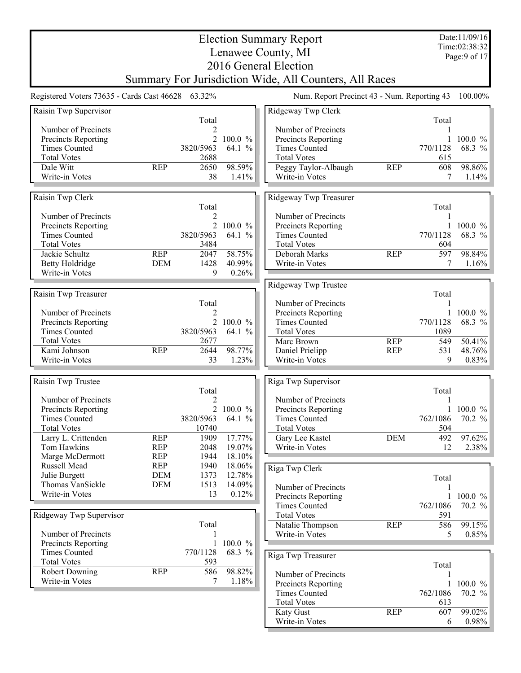|                                                   |                          |                         |                  | <b>Election Summary Report</b>                         |            |            | Date:11/09/16<br>Time:02:38:32 |
|---------------------------------------------------|--------------------------|-------------------------|------------------|--------------------------------------------------------|------------|------------|--------------------------------|
|                                                   |                          |                         |                  | Lenawee County, MI                                     |            |            | Page: 9 of 17                  |
|                                                   |                          |                         |                  | 2016 General Election                                  |            |            |                                |
|                                                   |                          |                         |                  | Summary For Jurisdiction Wide, All Counters, All Races |            |            |                                |
| Registered Voters 73635 - Cards Cast 46628 63.32% |                          |                         |                  | Num. Report Precinct 43 - Num. Reporting 43            |            |            | 100.00%                        |
| Raisin Twp Supervisor                             |                          |                         |                  | Ridgeway Twp Clerk                                     |            |            |                                |
| Number of Precincts                               |                          | Total<br>$\overline{2}$ |                  | Number of Precincts                                    |            | Total<br>1 |                                |
| Precincts Reporting                               |                          | $\overline{2}$          | 100.0%           | Precincts Reporting                                    |            |            | 100.0 %                        |
| <b>Times Counted</b>                              |                          | 3820/5963               | 64.1 %           | <b>Times Counted</b>                                   |            | 770/1128   | 68.3 %                         |
| <b>Total Votes</b>                                |                          | 2688                    |                  | <b>Total Votes</b>                                     |            | 615        |                                |
| Dale Witt                                         | <b>REP</b>               | 2650                    | 98.59%           | Peggy Taylor-Albaugh                                   | <b>REP</b> | 608        | 98.86%                         |
| Write-in Votes                                    |                          | 38                      | 1.41%            | Write-in Votes                                         |            | 7          | 1.14%                          |
| Raisin Twp Clerk                                  |                          |                         |                  | Ridgeway Twp Treasurer                                 |            |            |                                |
|                                                   |                          | Total                   |                  |                                                        |            | Total      |                                |
| Number of Precincts<br>Precincts Reporting        |                          | 2                       | 2 100.0 %        | Number of Precincts<br>Precincts Reporting             |            | 1          | 100.0 $%$                      |
| <b>Times Counted</b>                              |                          | 3820/5963               | 64.1 %           | <b>Times Counted</b>                                   |            | 770/1128   | 68.3 %                         |
| <b>Total Votes</b>                                |                          | 3484                    |                  | <b>Total Votes</b>                                     |            | 604        |                                |
| Jackie Schultz                                    | <b>REP</b>               | 2047                    | 58.75%           | Deborah Marks                                          | <b>REP</b> | 597        | 98.84%                         |
| <b>Betty Holdridge</b>                            | <b>DEM</b>               | 1428                    | 40.99%           | Write-in Votes                                         |            | 7          | $1.16\%$                       |
| Write-in Votes                                    |                          | 9                       | 0.26%            |                                                        |            |            |                                |
|                                                   |                          |                         |                  | Ridgeway Twp Trustee                                   |            |            |                                |
| Raisin Twp Treasurer                              |                          | Total                   |                  | Number of Precincts                                    |            | Total<br>1 |                                |
| Number of Precincts                               |                          | 2                       |                  | Precincts Reporting                                    |            |            | 100.0 $%$                      |
| Precincts Reporting                               |                          |                         | 2 100.0 %        | <b>Times Counted</b>                                   |            | 770/1128   | 68.3 %                         |
| <b>Times Counted</b>                              |                          | 3820/5963               | 64.1 %           | <b>Total Votes</b>                                     |            | 1089       |                                |
| <b>Total Votes</b>                                |                          | 2677                    |                  | Marc Brown                                             | <b>REP</b> | 549        | 50.41%                         |
| Kami Johnson                                      | <b>REP</b>               | 2644                    | 98.77%           | Daniel Prielipp                                        | <b>REP</b> | 531        | 48.76%                         |
| Write-in Votes                                    |                          | 33                      | 1.23%            | Write-in Votes                                         |            | 9          | 0.83%                          |
| Raisin Twp Trustee                                |                          |                         |                  | Riga Twp Supervisor                                    |            |            |                                |
|                                                   |                          | Total                   |                  |                                                        |            | Total      |                                |
| Number of Precincts                               |                          | 2                       |                  | Number of Precincts                                    |            |            |                                |
| Precincts Reporting                               |                          |                         | 2 100.0 %        | Precincts Reporting                                    |            |            | 1 100.0 $%$                    |
| <b>Times Counted</b>                              |                          | 3820/5963               | 64.1 %           | <b>Times Counted</b>                                   |            | 762/1086   | 70.2 %                         |
| <b>Total Votes</b>                                |                          | 10740                   |                  | <b>Total Votes</b>                                     |            | 504        |                                |
| Larry L. Crittenden<br>Tom Hawkins                | <b>REP</b><br><b>REP</b> | 1909                    | 17.77%<br>19.07% | Gary Lee Kastel<br>Write-in Votes                      | <b>DEM</b> | 492        | $97.62\%$<br>$2.38\%$          |
| Marge McDermott                                   | <b>REP</b>               | 2048<br>1944            | 18.10%           |                                                        |            | 12         |                                |
| Russell Mead                                      | <b>REP</b>               | 1940                    | 18.06%           | Riga Twp Clerk                                         |            |            |                                |
| Julie Burgett                                     | <b>DEM</b>               | 1373                    | 12.78%           |                                                        |            | Total      |                                |
| Thomas VanSickle                                  | <b>DEM</b>               | 1513                    | 14.09%           | Number of Precincts                                    |            | 1          |                                |
| Write-in Votes                                    |                          | 13                      | 0.12%            | Precincts Reporting                                    |            | 1          | 100.0 %                        |
|                                                   |                          |                         |                  | <b>Times Counted</b>                                   |            | 762/1086   | 70.2 %                         |
| Ridgeway Twp Supervisor                           |                          |                         |                  | <b>Total Votes</b>                                     |            | 591        |                                |
|                                                   |                          | Total                   |                  | Natalie Thompson                                       | <b>REP</b> | 586        | 99.15%                         |
| Number of Precincts                               |                          |                         | 100.0 $%$        | Write-in Votes                                         |            | 5          | 0.85%                          |
| Precincts Reporting<br><b>Times Counted</b>       |                          | 1<br>770/1128           | 68.3 %           |                                                        |            |            |                                |
| <b>Total Votes</b>                                |                          | 593                     |                  | Riga Twp Treasurer                                     |            |            |                                |
| <b>Robert Downing</b>                             | <b>REP</b>               | 586                     | 98.82%           | Number of Precincts                                    |            | Total      |                                |
| Write-in Votes                                    |                          | 7                       | 1.18%            | Precincts Reporting                                    |            | 1          | 100.0 %                        |
|                                                   |                          |                         |                  | <b>Times Counted</b>                                   |            | 762/1086   | 70.2 %                         |
|                                                   |                          |                         |                  | <b>Total Votes</b>                                     |            | 613        |                                |
|                                                   |                          |                         |                  | <b>Katy Gust</b>                                       | <b>REP</b> | 607        | 99.02%                         |
|                                                   |                          |                         |                  | Write-in Votes                                         |            | 6          | 0.98%                          |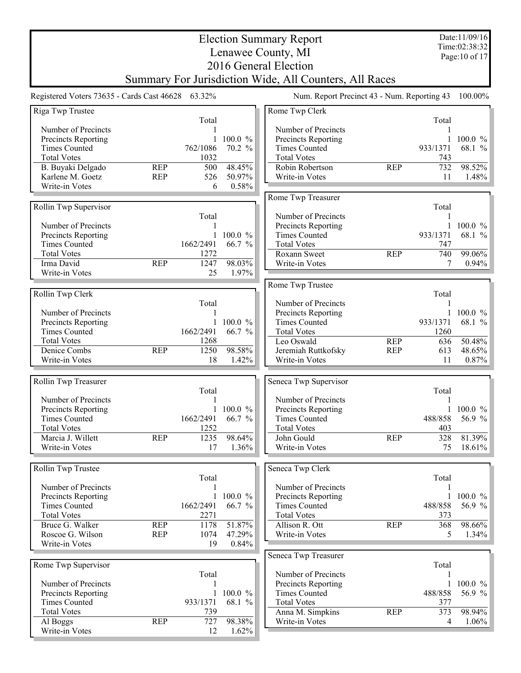|                                                                                                                                                |                          |                                                               |                                           | <b>Election Summary Report</b><br>Lenawee County, MI                                                                                            |                          |                                                    | Date:11/09/16<br>Time:02:38:32<br>Page: 10 of 17   |
|------------------------------------------------------------------------------------------------------------------------------------------------|--------------------------|---------------------------------------------------------------|-------------------------------------------|-------------------------------------------------------------------------------------------------------------------------------------------------|--------------------------|----------------------------------------------------|----------------------------------------------------|
|                                                                                                                                                |                          |                                                               |                                           | 2016 General Election<br>Summary For Jurisdiction Wide, All Counters, All Races                                                                 |                          |                                                    |                                                    |
| Registered Voters 73635 - Cards Cast 46628 63.32%                                                                                              |                          |                                                               |                                           | Num. Report Precinct 43 - Num. Reporting 43                                                                                                     |                          |                                                    | 100.00%                                            |
| Riga Twp Trustee                                                                                                                               |                          |                                                               |                                           | Rome Twp Clerk                                                                                                                                  |                          |                                                    |                                                    |
| Number of Precincts<br>Precincts Reporting<br><b>Times Counted</b><br><b>Total Votes</b>                                                       |                          | Total<br>1<br>$\mathbf{1}$<br>762/1086<br>1032                | 100.0 %<br>70.2 %                         | Number of Precincts<br>Precincts Reporting<br><b>Times Counted</b><br><b>Total Votes</b>                                                        |                          | Total<br>1<br>$\mathbf{1}$<br>933/1371<br>743      | 100.0 %<br>68.1 %                                  |
| B. Buyaki Delgado<br>Karlene M. Goetz<br>Write-in Votes                                                                                        | <b>REP</b><br><b>REP</b> | 500<br>526<br>6                                               | 48.45%<br>50.97%<br>0.58%                 | Robin Robertson<br>Write-in Votes                                                                                                               | <b>REP</b>               | 732<br>11                                          | 98.52%<br>1.48%                                    |
| Rollin Twp Supervisor                                                                                                                          |                          |                                                               |                                           | Rome Twp Treasurer                                                                                                                              |                          | Total                                              |                                                    |
| Number of Precincts<br>Precincts Reporting<br><b>Times Counted</b>                                                                             |                          | Total<br>1<br>1662/2491                                       | 100.0 %<br>66.7 %                         | Number of Precincts<br>Precincts Reporting<br><b>Times Counted</b><br><b>Total Votes</b>                                                        |                          | 1<br>$\mathbf{1}$<br>933/1371<br>747               | 100.0 %<br>68.1 %                                  |
| <b>Total Votes</b><br>Irma David<br>Write-in Votes                                                                                             | <b>REP</b>               | 1272<br>1247<br>25                                            | 98.03%<br>1.97%                           | Roxann Sweet<br>Write-in Votes                                                                                                                  | <b>REP</b>               | 740<br>7                                           | 99.06%<br>0.94%                                    |
|                                                                                                                                                |                          |                                                               |                                           | Rome Twp Trustee                                                                                                                                |                          |                                                    |                                                    |
| Rollin Twp Clerk<br>Number of Precincts<br>Precincts Reporting<br><b>Times Counted</b><br><b>Total Votes</b><br>Denice Combs<br>Write-in Votes | <b>REP</b>               | Total<br>1<br>$\mathbf{1}$<br>1662/2491<br>1268<br>1250<br>18 | 100.0 %<br>66.7 %<br>98.58%<br>1.42%      | Number of Precincts<br>Precincts Reporting<br><b>Times Counted</b><br><b>Total Votes</b><br>Leo Oswald<br>Jeremiah Ruttkofsky<br>Write-in Votes | <b>REP</b><br><b>REP</b> | Total<br>1<br>933/1371<br>1260<br>636<br>613<br>11 | 1 100.0 $%$<br>68.1 %<br>50.48%<br>48.65%<br>0.87% |
| Rollin Twp Treasurer                                                                                                                           |                          |                                                               |                                           | Seneca Twp Supervisor                                                                                                                           |                          |                                                    |                                                    |
| Number of Precincts<br>Precincts Reporting<br><b>Times Counted</b><br><b>Total Votes</b><br>Marcia J. Willett<br>Write-in Votes                | <b>REP</b>               | Total<br>1662/2491<br>1252<br>1235<br>17                      | 1 100.0 $\%$<br>66.7 %<br>98.64%<br>1.36% | Number of Precincts<br>Precincts Reporting<br><b>Times Counted</b><br><b>Total Votes</b><br>John Gould<br>Write-in Votes                        | <b>REP</b>               | Total<br>488/858<br>403<br>328<br>75               | 1 100.0 $\%$<br>56.9 %<br>81.39%<br>18.61%         |
|                                                                                                                                                |                          |                                                               |                                           |                                                                                                                                                 |                          |                                                    |                                                    |
| Rollin Twp Trustee<br>Number of Precincts<br>Precincts Reporting<br><b>Times Counted</b><br><b>Total Votes</b>                                 |                          | Total<br>1<br>1662/2491<br>2271                               | 1 100.0 $%$<br>66.7 %                     | Seneca Twp Clerk<br>Number of Precincts<br>Precincts Reporting<br><b>Times Counted</b><br><b>Total Votes</b>                                    |                          | Total<br>1<br>$\mathbf{1}$<br>488/858<br>373       | 100.0 %<br>56.9 %                                  |
| Bruce G. Walker<br>Roscoe G. Wilson<br>Write-in Votes                                                                                          | <b>REP</b><br><b>REP</b> | 1178<br>1074<br>19                                            | 51.87%<br>47.29%<br>0.84%                 | Allison R. Ott<br>Write-in Votes                                                                                                                | <b>REP</b>               | 368<br>5                                           | 98.66%<br>1.34%                                    |
| Rome Twp Supervisor                                                                                                                            |                          |                                                               |                                           | Seneca Twp Treasurer                                                                                                                            |                          | Total                                              |                                                    |
| Number of Precincts<br>Precincts Reporting<br><b>Times Counted</b><br><b>Total Votes</b>                                                       |                          | Total<br>$\mathbf{1}$<br>933/1371<br>739                      | 100.0 %<br>68.1 %                         | Number of Precincts<br>Precincts Reporting<br><b>Times Counted</b><br><b>Total Votes</b><br>Anna M. Simpkins                                    | <b>REP</b>               | $\mathbf{1}$<br>488/858<br>377<br>373              | 100.0 %<br>56.9 %<br>98.94%                        |
| Al Boggs<br>Write-in Votes                                                                                                                     | <b>REP</b>               | 727<br>12                                                     | 98.38%<br>1.62%                           | Write-in Votes                                                                                                                                  |                          | 4                                                  | 1.06%                                              |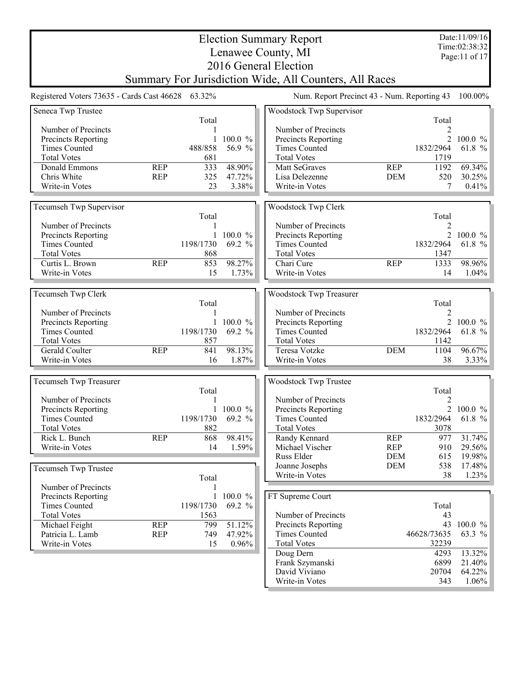|                               |                                                        |                 | <b>Election Summary Report</b>              |                          |                | Date:11/09/16<br>Time:02:38:32 |  |  |
|-------------------------------|--------------------------------------------------------|-----------------|---------------------------------------------|--------------------------|----------------|--------------------------------|--|--|
|                               |                                                        |                 | Lenawee County, MI                          |                          |                | Page:11 of 17                  |  |  |
|                               |                                                        |                 | 2016 General Election                       |                          |                |                                |  |  |
|                               | Summary For Jurisdiction Wide, All Counters, All Races |                 |                                             |                          |                |                                |  |  |
|                               | Registered Voters 73635 - Cards Cast 46628 63.32%      |                 | Num. Report Precinct 43 - Num. Reporting 43 |                          |                | 100.00%                        |  |  |
| Seneca Twp Trustee            | Total                                                  |                 | Woodstock Twp Supervisor                    |                          | Total          |                                |  |  |
| Number of Precincts           |                                                        |                 | Number of Precincts                         |                          | 2              |                                |  |  |
| Precincts Reporting           |                                                        | 100.0 %         | Precincts Reporting                         |                          | $\overline{2}$ | $100.0 \%$                     |  |  |
| <b>Times Counted</b>          | 488/858                                                | 56.9 %          | <b>Times Counted</b>                        |                          | 1832/2964      | 61.8 %                         |  |  |
| <b>Total Votes</b>            | 681                                                    |                 | <b>Total Votes</b>                          |                          | 1719           |                                |  |  |
| Donald Emmons<br>Chris White  | <b>REP</b><br>333<br><b>REP</b>                        | 48.90%          | Matt SeGraves                               | <b>REP</b>               | 1192           | 69.34%                         |  |  |
| Write-in Votes                | 325<br>23                                              | 47.72%<br>3.38% | Lisa Delezenne<br>Write-in Votes            | <b>DEM</b>               | 520<br>7       | 30.25%<br>0.41%                |  |  |
|                               |                                                        |                 |                                             |                          |                |                                |  |  |
| Tecumseh Twp Supervisor       | Total                                                  |                 | Woodstock Twp Clerk                         |                          | Total          |                                |  |  |
| Number of Precincts           |                                                        |                 | Number of Precincts                         |                          | $\overline{2}$ |                                |  |  |
| Precincts Reporting           |                                                        | $100.0 \%$      | Precincts Reporting                         |                          |                | 2 100.0 $\%$                   |  |  |
| <b>Times Counted</b>          | 1198/1730                                              | 69.2 %          | <b>Times Counted</b>                        |                          | 1832/2964      | 61.8 %                         |  |  |
| <b>Total Votes</b>            | 868                                                    |                 | <b>Total Votes</b>                          |                          | 1347           |                                |  |  |
| Curtis L. Brown               | 853<br><b>REP</b>                                      | 98.27%          | Chari Cure                                  | <b>REP</b>               | 1333           | 98.96%                         |  |  |
| Write-in Votes                | 15                                                     | 1.73%           | Write-in Votes                              |                          | 14             | 1.04%                          |  |  |
|                               |                                                        |                 |                                             |                          |                |                                |  |  |
| Tecumseh Twp Clerk            | Total                                                  |                 | Woodstock Twp Treasurer                     |                          | Total          |                                |  |  |
| Number of Precincts           |                                                        |                 | Number of Precincts                         |                          | 2              |                                |  |  |
| Precincts Reporting           |                                                        | 100.0 %         | Precincts Reporting                         |                          |                | 2 100.0 $\%$                   |  |  |
| <b>Times Counted</b>          | 1198/1730                                              | 69.2 %          | <b>Times Counted</b>                        |                          | 1832/2964      | 61.8 %                         |  |  |
| <b>Total Votes</b>            | 857                                                    |                 | <b>Total Votes</b>                          |                          | 1142           |                                |  |  |
| Gerald Coulter                | <b>REP</b><br>841                                      | 98.13%          | Teresa Votzke                               | <b>DEM</b>               | 1104           | 96.67%                         |  |  |
| Write-in Votes                | 16                                                     | 1.87%           | Write-in Votes                              |                          | 38             | 3.33%                          |  |  |
|                               |                                                        |                 |                                             |                          |                |                                |  |  |
| <b>Tecumseh Twp Treasurer</b> | Total                                                  |                 | Woodstock Twp Trustee                       |                          | Total          |                                |  |  |
| Number of Precincts           | 1                                                      |                 | Number of Precincts                         |                          | 2              |                                |  |  |
| Precincts Reporting           |                                                        | 100.0 %         | Precincts Reporting                         |                          | $\overline{2}$ | $100.0 \%$                     |  |  |
| <b>Times Counted</b>          | 1198/1730                                              | 69.2 %          | <b>Times Counted</b>                        |                          | 1832/2964      | 61.8 %                         |  |  |
| <b>Total Votes</b>            | 882                                                    |                 | <b>Total Votes</b>                          |                          | 3078           |                                |  |  |
| Rick L. Bunch                 | <b>REP</b><br>868                                      | 98.41%          | Randy Kennard                               | <b>REP</b>               | 977            | 31.74%                         |  |  |
| Write-in Votes                | 14                                                     | 1.59%           | Michael Vischer                             | <b>REP</b>               | 910            | 29.56%                         |  |  |
|                               |                                                        |                 | Russ Elder<br>Joanne Josephs                | <b>DEM</b><br><b>DEM</b> | 615<br>538     | 19.98%<br>17.48%               |  |  |
| Tecumseh Twp Trustee          | Total                                                  |                 | Write-in Votes                              |                          | 38             | 1.23%                          |  |  |
| Number of Precincts           |                                                        |                 |                                             |                          |                |                                |  |  |
| Precincts Reporting           |                                                        | 100.0 %         | FT Supreme Court                            |                          |                |                                |  |  |
| <b>Times Counted</b>          | 1198/1730                                              | 69.2 %          |                                             |                          | Total          |                                |  |  |
| <b>Total Votes</b>            | 1563                                                   |                 | Number of Precincts                         |                          | 43             |                                |  |  |
| Michael Feight                | <b>REP</b><br>799                                      | 51.12%          | Precincts Reporting                         |                          |                | 43 100.0 %                     |  |  |
| Patricia L. Lamb              | <b>REP</b><br>749                                      | 47.92%          | <b>Times Counted</b>                        |                          | 46628/73635    | 63.3 %                         |  |  |
| Write-in Votes                | 15                                                     | 0.96%           | <b>Total Votes</b>                          |                          | 32239          |                                |  |  |
|                               |                                                        |                 | Doug Dern<br>Frank Szymanski                |                          | 4293<br>6899   | 13.32%<br>21.40%               |  |  |
|                               |                                                        |                 | David Viviano                               |                          | 20704          | 64.22%                         |  |  |
|                               |                                                        |                 | Write-in Votes                              |                          | 343            | $1.06\%$                       |  |  |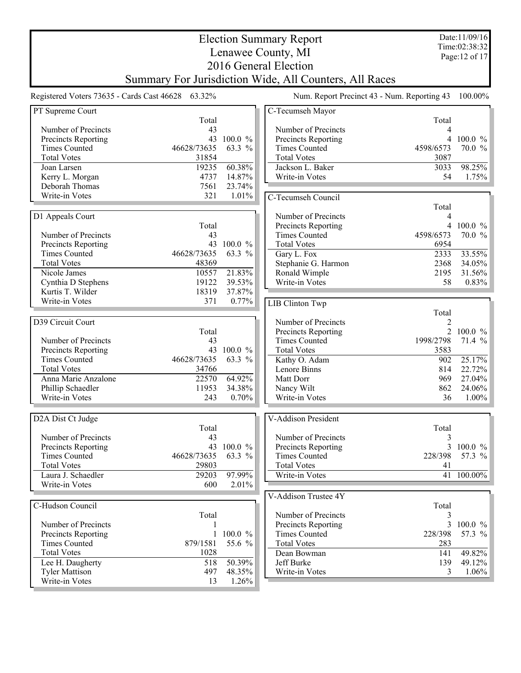| Time:02:38:32<br>Lenawee County, MI<br>Page: 12 of 17<br>2016 General Election<br>Summary For Jurisdiction Wide, All Counters, All Races<br>Registered Voters 73635 - Cards Cast 46628 63.32%<br>Num. Report Precinct 43 - Num. Reporting 43<br>100.00%<br>PT Supreme Court<br>C-Tecumseh Mayor<br>Total<br>Total<br>Number of Precincts<br>Number of Precincts<br>43<br>4<br>43<br>100.0 %<br>Precincts Reporting<br>Precincts Reporting<br>$\overline{4}$<br>$100.0 \%$<br><b>Times Counted</b><br>70.0 %<br><b>Times Counted</b><br>46628/73635<br>63.3 %<br>4598/6573<br><b>Total Votes</b><br><b>Total Votes</b><br>31854<br>3087<br>60.38%<br>98.25%<br>19235<br>Jackson L. Baker<br>Joan Larsen<br>3033<br>4737<br>14.87%<br>Write-in Votes<br>54<br>1.75%<br>Kerry L. Morgan<br>Deborah Thomas<br>7561<br>23.74%<br>321<br>1.01%<br>Write-in Votes<br>C-Tecumseh Council<br>Total<br>D1 Appeals Court<br>Number of Precincts<br>4<br>Precincts Reporting<br>4 100.0 %<br>Total<br>70.0 %<br>Number of Precincts<br>43<br><b>Times Counted</b><br>4598/6573<br>43 100.0 %<br>Precincts Reporting<br><b>Total Votes</b><br>6954<br><b>Times Counted</b><br>46628/73635<br>63.3 %<br>33.55%<br>Gary L. Fox<br>2333<br><b>Total Votes</b><br>48369<br>Stephanie G. Harmon<br>2368<br>34.05%<br>21.83%<br>Nicole James<br>10557<br>Ronald Wimple<br>31.56%<br>2195<br>19122<br>39.53%<br>Write-in Votes<br>58<br>0.83%<br>Cynthia D Stephens<br>Kurtis T. Wilder<br>18319<br>37.87%<br>Write-in Votes<br>371<br>0.77%<br><b>LIB Clinton Twp</b><br>Total<br>D39 Circuit Court<br>Number of Precincts<br>2<br>2 100.0 %<br>Total<br>Precincts Reporting<br><b>Times Counted</b><br>Number of Precincts<br>1998/2798<br>71.4 %<br>43<br>43<br>Precincts Reporting<br>$100.0 \%$<br><b>Total Votes</b><br>3583<br><b>Times Counted</b><br>46628/73635<br>63.3 %<br>25.17%<br>Kathy O. Adam<br>902<br><b>Total Votes</b><br>34766<br>22.72%<br>Lenore Binns<br>814<br>64.92%<br>22570<br>969<br>27.04%<br>Anna Marie Anzalone<br>Matt Dorr<br>24.06%<br>Phillip Schaedler<br>11953<br>34.38%<br>Nancy Wilt<br>862<br>Write-in Votes<br>36<br>Write-in Votes<br>243<br>0.70%<br>$1.00\%$<br>D2A Dist Ct Judge<br>V-Addison President<br>Total<br>Total<br>Number of Precincts<br>Number of Precincts<br>43<br>3<br>43 100.0 %<br>Precincts Reporting<br>Precincts Reporting<br><b>Times Counted</b><br>46628/73635<br><b>Times Counted</b><br>228/398<br>63.3 %<br><b>Total Votes</b><br>29803<br><b>Total Votes</b><br>41<br>Laura J. Schaedler<br>97.99%<br>Write-in Votes<br>41 100.00%<br>29203<br>Write-in Votes<br>600<br>2.01%<br>V-Addison Trustee 4Y<br>C-Hudson Council<br>Total<br>Total<br>Number of Precincts<br>3<br>Number of Precincts<br>Precincts Reporting<br>3<br><b>Precincts Reporting</b><br>100.0 %<br><b>Times Counted</b><br>57.3 %<br>1<br>228/398<br><b>Times Counted</b><br>879/1581<br>55.6 %<br><b>Total Votes</b><br>283<br><b>Total Votes</b><br>1028<br>Dean Bowman<br>49.82%<br>141<br>50.39%<br>518<br>Jeff Burke<br>Lee H. Daugherty<br>139<br><b>Tyler Mattison</b><br>497<br>48.35%<br>Write-in Votes<br>3 |  |  |  | <b>Election Summary Report</b> |  | Date:11/09/16 |  |  |
|-------------------------------------------------------------------------------------------------------------------------------------------------------------------------------------------------------------------------------------------------------------------------------------------------------------------------------------------------------------------------------------------------------------------------------------------------------------------------------------------------------------------------------------------------------------------------------------------------------------------------------------------------------------------------------------------------------------------------------------------------------------------------------------------------------------------------------------------------------------------------------------------------------------------------------------------------------------------------------------------------------------------------------------------------------------------------------------------------------------------------------------------------------------------------------------------------------------------------------------------------------------------------------------------------------------------------------------------------------------------------------------------------------------------------------------------------------------------------------------------------------------------------------------------------------------------------------------------------------------------------------------------------------------------------------------------------------------------------------------------------------------------------------------------------------------------------------------------------------------------------------------------------------------------------------------------------------------------------------------------------------------------------------------------------------------------------------------------------------------------------------------------------------------------------------------------------------------------------------------------------------------------------------------------------------------------------------------------------------------------------------------------------------------------------------------------------------------------------------------------------------------------------------------------------------------------------------------------------------------------------------------------------------------------------------------------------------------------------------------------------------------------------------------------------------------------------------------------------------------------------------------------------------------------------------------------------------------------------------------------------------------------------------------------------------------------------------------------------------------------------------------------------|--|--|--|--------------------------------|--|---------------|--|--|
|                                                                                                                                                                                                                                                                                                                                                                                                                                                                                                                                                                                                                                                                                                                                                                                                                                                                                                                                                                                                                                                                                                                                                                                                                                                                                                                                                                                                                                                                                                                                                                                                                                                                                                                                                                                                                                                                                                                                                                                                                                                                                                                                                                                                                                                                                                                                                                                                                                                                                                                                                                                                                                                                                                                                                                                                                                                                                                                                                                                                                                                                                                                                                 |  |  |  |                                |  |               |  |  |
|                                                                                                                                                                                                                                                                                                                                                                                                                                                                                                                                                                                                                                                                                                                                                                                                                                                                                                                                                                                                                                                                                                                                                                                                                                                                                                                                                                                                                                                                                                                                                                                                                                                                                                                                                                                                                                                                                                                                                                                                                                                                                                                                                                                                                                                                                                                                                                                                                                                                                                                                                                                                                                                                                                                                                                                                                                                                                                                                                                                                                                                                                                                                                 |  |  |  |                                |  |               |  |  |
|                                                                                                                                                                                                                                                                                                                                                                                                                                                                                                                                                                                                                                                                                                                                                                                                                                                                                                                                                                                                                                                                                                                                                                                                                                                                                                                                                                                                                                                                                                                                                                                                                                                                                                                                                                                                                                                                                                                                                                                                                                                                                                                                                                                                                                                                                                                                                                                                                                                                                                                                                                                                                                                                                                                                                                                                                                                                                                                                                                                                                                                                                                                                                 |  |  |  |                                |  |               |  |  |
|                                                                                                                                                                                                                                                                                                                                                                                                                                                                                                                                                                                                                                                                                                                                                                                                                                                                                                                                                                                                                                                                                                                                                                                                                                                                                                                                                                                                                                                                                                                                                                                                                                                                                                                                                                                                                                                                                                                                                                                                                                                                                                                                                                                                                                                                                                                                                                                                                                                                                                                                                                                                                                                                                                                                                                                                                                                                                                                                                                                                                                                                                                                                                 |  |  |  |                                |  |               |  |  |
|                                                                                                                                                                                                                                                                                                                                                                                                                                                                                                                                                                                                                                                                                                                                                                                                                                                                                                                                                                                                                                                                                                                                                                                                                                                                                                                                                                                                                                                                                                                                                                                                                                                                                                                                                                                                                                                                                                                                                                                                                                                                                                                                                                                                                                                                                                                                                                                                                                                                                                                                                                                                                                                                                                                                                                                                                                                                                                                                                                                                                                                                                                                                                 |  |  |  |                                |  |               |  |  |
|                                                                                                                                                                                                                                                                                                                                                                                                                                                                                                                                                                                                                                                                                                                                                                                                                                                                                                                                                                                                                                                                                                                                                                                                                                                                                                                                                                                                                                                                                                                                                                                                                                                                                                                                                                                                                                                                                                                                                                                                                                                                                                                                                                                                                                                                                                                                                                                                                                                                                                                                                                                                                                                                                                                                                                                                                                                                                                                                                                                                                                                                                                                                                 |  |  |  |                                |  |               |  |  |
|                                                                                                                                                                                                                                                                                                                                                                                                                                                                                                                                                                                                                                                                                                                                                                                                                                                                                                                                                                                                                                                                                                                                                                                                                                                                                                                                                                                                                                                                                                                                                                                                                                                                                                                                                                                                                                                                                                                                                                                                                                                                                                                                                                                                                                                                                                                                                                                                                                                                                                                                                                                                                                                                                                                                                                                                                                                                                                                                                                                                                                                                                                                                                 |  |  |  |                                |  |               |  |  |
|                                                                                                                                                                                                                                                                                                                                                                                                                                                                                                                                                                                                                                                                                                                                                                                                                                                                                                                                                                                                                                                                                                                                                                                                                                                                                                                                                                                                                                                                                                                                                                                                                                                                                                                                                                                                                                                                                                                                                                                                                                                                                                                                                                                                                                                                                                                                                                                                                                                                                                                                                                                                                                                                                                                                                                                                                                                                                                                                                                                                                                                                                                                                                 |  |  |  |                                |  |               |  |  |
|                                                                                                                                                                                                                                                                                                                                                                                                                                                                                                                                                                                                                                                                                                                                                                                                                                                                                                                                                                                                                                                                                                                                                                                                                                                                                                                                                                                                                                                                                                                                                                                                                                                                                                                                                                                                                                                                                                                                                                                                                                                                                                                                                                                                                                                                                                                                                                                                                                                                                                                                                                                                                                                                                                                                                                                                                                                                                                                                                                                                                                                                                                                                                 |  |  |  |                                |  |               |  |  |
|                                                                                                                                                                                                                                                                                                                                                                                                                                                                                                                                                                                                                                                                                                                                                                                                                                                                                                                                                                                                                                                                                                                                                                                                                                                                                                                                                                                                                                                                                                                                                                                                                                                                                                                                                                                                                                                                                                                                                                                                                                                                                                                                                                                                                                                                                                                                                                                                                                                                                                                                                                                                                                                                                                                                                                                                                                                                                                                                                                                                                                                                                                                                                 |  |  |  |                                |  |               |  |  |
|                                                                                                                                                                                                                                                                                                                                                                                                                                                                                                                                                                                                                                                                                                                                                                                                                                                                                                                                                                                                                                                                                                                                                                                                                                                                                                                                                                                                                                                                                                                                                                                                                                                                                                                                                                                                                                                                                                                                                                                                                                                                                                                                                                                                                                                                                                                                                                                                                                                                                                                                                                                                                                                                                                                                                                                                                                                                                                                                                                                                                                                                                                                                                 |  |  |  |                                |  |               |  |  |
|                                                                                                                                                                                                                                                                                                                                                                                                                                                                                                                                                                                                                                                                                                                                                                                                                                                                                                                                                                                                                                                                                                                                                                                                                                                                                                                                                                                                                                                                                                                                                                                                                                                                                                                                                                                                                                                                                                                                                                                                                                                                                                                                                                                                                                                                                                                                                                                                                                                                                                                                                                                                                                                                                                                                                                                                                                                                                                                                                                                                                                                                                                                                                 |  |  |  |                                |  |               |  |  |
|                                                                                                                                                                                                                                                                                                                                                                                                                                                                                                                                                                                                                                                                                                                                                                                                                                                                                                                                                                                                                                                                                                                                                                                                                                                                                                                                                                                                                                                                                                                                                                                                                                                                                                                                                                                                                                                                                                                                                                                                                                                                                                                                                                                                                                                                                                                                                                                                                                                                                                                                                                                                                                                                                                                                                                                                                                                                                                                                                                                                                                                                                                                                                 |  |  |  |                                |  |               |  |  |
|                                                                                                                                                                                                                                                                                                                                                                                                                                                                                                                                                                                                                                                                                                                                                                                                                                                                                                                                                                                                                                                                                                                                                                                                                                                                                                                                                                                                                                                                                                                                                                                                                                                                                                                                                                                                                                                                                                                                                                                                                                                                                                                                                                                                                                                                                                                                                                                                                                                                                                                                                                                                                                                                                                                                                                                                                                                                                                                                                                                                                                                                                                                                                 |  |  |  |                                |  |               |  |  |
|                                                                                                                                                                                                                                                                                                                                                                                                                                                                                                                                                                                                                                                                                                                                                                                                                                                                                                                                                                                                                                                                                                                                                                                                                                                                                                                                                                                                                                                                                                                                                                                                                                                                                                                                                                                                                                                                                                                                                                                                                                                                                                                                                                                                                                                                                                                                                                                                                                                                                                                                                                                                                                                                                                                                                                                                                                                                                                                                                                                                                                                                                                                                                 |  |  |  |                                |  |               |  |  |
|                                                                                                                                                                                                                                                                                                                                                                                                                                                                                                                                                                                                                                                                                                                                                                                                                                                                                                                                                                                                                                                                                                                                                                                                                                                                                                                                                                                                                                                                                                                                                                                                                                                                                                                                                                                                                                                                                                                                                                                                                                                                                                                                                                                                                                                                                                                                                                                                                                                                                                                                                                                                                                                                                                                                                                                                                                                                                                                                                                                                                                                                                                                                                 |  |  |  |                                |  |               |  |  |
|                                                                                                                                                                                                                                                                                                                                                                                                                                                                                                                                                                                                                                                                                                                                                                                                                                                                                                                                                                                                                                                                                                                                                                                                                                                                                                                                                                                                                                                                                                                                                                                                                                                                                                                                                                                                                                                                                                                                                                                                                                                                                                                                                                                                                                                                                                                                                                                                                                                                                                                                                                                                                                                                                                                                                                                                                                                                                                                                                                                                                                                                                                                                                 |  |  |  |                                |  |               |  |  |
|                                                                                                                                                                                                                                                                                                                                                                                                                                                                                                                                                                                                                                                                                                                                                                                                                                                                                                                                                                                                                                                                                                                                                                                                                                                                                                                                                                                                                                                                                                                                                                                                                                                                                                                                                                                                                                                                                                                                                                                                                                                                                                                                                                                                                                                                                                                                                                                                                                                                                                                                                                                                                                                                                                                                                                                                                                                                                                                                                                                                                                                                                                                                                 |  |  |  |                                |  |               |  |  |
|                                                                                                                                                                                                                                                                                                                                                                                                                                                                                                                                                                                                                                                                                                                                                                                                                                                                                                                                                                                                                                                                                                                                                                                                                                                                                                                                                                                                                                                                                                                                                                                                                                                                                                                                                                                                                                                                                                                                                                                                                                                                                                                                                                                                                                                                                                                                                                                                                                                                                                                                                                                                                                                                                                                                                                                                                                                                                                                                                                                                                                                                                                                                                 |  |  |  |                                |  |               |  |  |
|                                                                                                                                                                                                                                                                                                                                                                                                                                                                                                                                                                                                                                                                                                                                                                                                                                                                                                                                                                                                                                                                                                                                                                                                                                                                                                                                                                                                                                                                                                                                                                                                                                                                                                                                                                                                                                                                                                                                                                                                                                                                                                                                                                                                                                                                                                                                                                                                                                                                                                                                                                                                                                                                                                                                                                                                                                                                                                                                                                                                                                                                                                                                                 |  |  |  |                                |  |               |  |  |
|                                                                                                                                                                                                                                                                                                                                                                                                                                                                                                                                                                                                                                                                                                                                                                                                                                                                                                                                                                                                                                                                                                                                                                                                                                                                                                                                                                                                                                                                                                                                                                                                                                                                                                                                                                                                                                                                                                                                                                                                                                                                                                                                                                                                                                                                                                                                                                                                                                                                                                                                                                                                                                                                                                                                                                                                                                                                                                                                                                                                                                                                                                                                                 |  |  |  |                                |  |               |  |  |
|                                                                                                                                                                                                                                                                                                                                                                                                                                                                                                                                                                                                                                                                                                                                                                                                                                                                                                                                                                                                                                                                                                                                                                                                                                                                                                                                                                                                                                                                                                                                                                                                                                                                                                                                                                                                                                                                                                                                                                                                                                                                                                                                                                                                                                                                                                                                                                                                                                                                                                                                                                                                                                                                                                                                                                                                                                                                                                                                                                                                                                                                                                                                                 |  |  |  |                                |  |               |  |  |
|                                                                                                                                                                                                                                                                                                                                                                                                                                                                                                                                                                                                                                                                                                                                                                                                                                                                                                                                                                                                                                                                                                                                                                                                                                                                                                                                                                                                                                                                                                                                                                                                                                                                                                                                                                                                                                                                                                                                                                                                                                                                                                                                                                                                                                                                                                                                                                                                                                                                                                                                                                                                                                                                                                                                                                                                                                                                                                                                                                                                                                                                                                                                                 |  |  |  |                                |  |               |  |  |
|                                                                                                                                                                                                                                                                                                                                                                                                                                                                                                                                                                                                                                                                                                                                                                                                                                                                                                                                                                                                                                                                                                                                                                                                                                                                                                                                                                                                                                                                                                                                                                                                                                                                                                                                                                                                                                                                                                                                                                                                                                                                                                                                                                                                                                                                                                                                                                                                                                                                                                                                                                                                                                                                                                                                                                                                                                                                                                                                                                                                                                                                                                                                                 |  |  |  |                                |  |               |  |  |
|                                                                                                                                                                                                                                                                                                                                                                                                                                                                                                                                                                                                                                                                                                                                                                                                                                                                                                                                                                                                                                                                                                                                                                                                                                                                                                                                                                                                                                                                                                                                                                                                                                                                                                                                                                                                                                                                                                                                                                                                                                                                                                                                                                                                                                                                                                                                                                                                                                                                                                                                                                                                                                                                                                                                                                                                                                                                                                                                                                                                                                                                                                                                                 |  |  |  |                                |  |               |  |  |
| 3 100.0 %<br>57.3 %<br>$100.0 \%$<br>49.12%<br>1.06%                                                                                                                                                                                                                                                                                                                                                                                                                                                                                                                                                                                                                                                                                                                                                                                                                                                                                                                                                                                                                                                                                                                                                                                                                                                                                                                                                                                                                                                                                                                                                                                                                                                                                                                                                                                                                                                                                                                                                                                                                                                                                                                                                                                                                                                                                                                                                                                                                                                                                                                                                                                                                                                                                                                                                                                                                                                                                                                                                                                                                                                                                            |  |  |  |                                |  |               |  |  |
|                                                                                                                                                                                                                                                                                                                                                                                                                                                                                                                                                                                                                                                                                                                                                                                                                                                                                                                                                                                                                                                                                                                                                                                                                                                                                                                                                                                                                                                                                                                                                                                                                                                                                                                                                                                                                                                                                                                                                                                                                                                                                                                                                                                                                                                                                                                                                                                                                                                                                                                                                                                                                                                                                                                                                                                                                                                                                                                                                                                                                                                                                                                                                 |  |  |  |                                |  |               |  |  |
|                                                                                                                                                                                                                                                                                                                                                                                                                                                                                                                                                                                                                                                                                                                                                                                                                                                                                                                                                                                                                                                                                                                                                                                                                                                                                                                                                                                                                                                                                                                                                                                                                                                                                                                                                                                                                                                                                                                                                                                                                                                                                                                                                                                                                                                                                                                                                                                                                                                                                                                                                                                                                                                                                                                                                                                                                                                                                                                                                                                                                                                                                                                                                 |  |  |  |                                |  |               |  |  |
|                                                                                                                                                                                                                                                                                                                                                                                                                                                                                                                                                                                                                                                                                                                                                                                                                                                                                                                                                                                                                                                                                                                                                                                                                                                                                                                                                                                                                                                                                                                                                                                                                                                                                                                                                                                                                                                                                                                                                                                                                                                                                                                                                                                                                                                                                                                                                                                                                                                                                                                                                                                                                                                                                                                                                                                                                                                                                                                                                                                                                                                                                                                                                 |  |  |  |                                |  |               |  |  |
|                                                                                                                                                                                                                                                                                                                                                                                                                                                                                                                                                                                                                                                                                                                                                                                                                                                                                                                                                                                                                                                                                                                                                                                                                                                                                                                                                                                                                                                                                                                                                                                                                                                                                                                                                                                                                                                                                                                                                                                                                                                                                                                                                                                                                                                                                                                                                                                                                                                                                                                                                                                                                                                                                                                                                                                                                                                                                                                                                                                                                                                                                                                                                 |  |  |  |                                |  |               |  |  |
|                                                                                                                                                                                                                                                                                                                                                                                                                                                                                                                                                                                                                                                                                                                                                                                                                                                                                                                                                                                                                                                                                                                                                                                                                                                                                                                                                                                                                                                                                                                                                                                                                                                                                                                                                                                                                                                                                                                                                                                                                                                                                                                                                                                                                                                                                                                                                                                                                                                                                                                                                                                                                                                                                                                                                                                                                                                                                                                                                                                                                                                                                                                                                 |  |  |  |                                |  |               |  |  |
|                                                                                                                                                                                                                                                                                                                                                                                                                                                                                                                                                                                                                                                                                                                                                                                                                                                                                                                                                                                                                                                                                                                                                                                                                                                                                                                                                                                                                                                                                                                                                                                                                                                                                                                                                                                                                                                                                                                                                                                                                                                                                                                                                                                                                                                                                                                                                                                                                                                                                                                                                                                                                                                                                                                                                                                                                                                                                                                                                                                                                                                                                                                                                 |  |  |  |                                |  |               |  |  |
|                                                                                                                                                                                                                                                                                                                                                                                                                                                                                                                                                                                                                                                                                                                                                                                                                                                                                                                                                                                                                                                                                                                                                                                                                                                                                                                                                                                                                                                                                                                                                                                                                                                                                                                                                                                                                                                                                                                                                                                                                                                                                                                                                                                                                                                                                                                                                                                                                                                                                                                                                                                                                                                                                                                                                                                                                                                                                                                                                                                                                                                                                                                                                 |  |  |  |                                |  |               |  |  |
|                                                                                                                                                                                                                                                                                                                                                                                                                                                                                                                                                                                                                                                                                                                                                                                                                                                                                                                                                                                                                                                                                                                                                                                                                                                                                                                                                                                                                                                                                                                                                                                                                                                                                                                                                                                                                                                                                                                                                                                                                                                                                                                                                                                                                                                                                                                                                                                                                                                                                                                                                                                                                                                                                                                                                                                                                                                                                                                                                                                                                                                                                                                                                 |  |  |  |                                |  |               |  |  |
|                                                                                                                                                                                                                                                                                                                                                                                                                                                                                                                                                                                                                                                                                                                                                                                                                                                                                                                                                                                                                                                                                                                                                                                                                                                                                                                                                                                                                                                                                                                                                                                                                                                                                                                                                                                                                                                                                                                                                                                                                                                                                                                                                                                                                                                                                                                                                                                                                                                                                                                                                                                                                                                                                                                                                                                                                                                                                                                                                                                                                                                                                                                                                 |  |  |  |                                |  |               |  |  |
|                                                                                                                                                                                                                                                                                                                                                                                                                                                                                                                                                                                                                                                                                                                                                                                                                                                                                                                                                                                                                                                                                                                                                                                                                                                                                                                                                                                                                                                                                                                                                                                                                                                                                                                                                                                                                                                                                                                                                                                                                                                                                                                                                                                                                                                                                                                                                                                                                                                                                                                                                                                                                                                                                                                                                                                                                                                                                                                                                                                                                                                                                                                                                 |  |  |  |                                |  |               |  |  |
|                                                                                                                                                                                                                                                                                                                                                                                                                                                                                                                                                                                                                                                                                                                                                                                                                                                                                                                                                                                                                                                                                                                                                                                                                                                                                                                                                                                                                                                                                                                                                                                                                                                                                                                                                                                                                                                                                                                                                                                                                                                                                                                                                                                                                                                                                                                                                                                                                                                                                                                                                                                                                                                                                                                                                                                                                                                                                                                                                                                                                                                                                                                                                 |  |  |  |                                |  |               |  |  |
|                                                                                                                                                                                                                                                                                                                                                                                                                                                                                                                                                                                                                                                                                                                                                                                                                                                                                                                                                                                                                                                                                                                                                                                                                                                                                                                                                                                                                                                                                                                                                                                                                                                                                                                                                                                                                                                                                                                                                                                                                                                                                                                                                                                                                                                                                                                                                                                                                                                                                                                                                                                                                                                                                                                                                                                                                                                                                                                                                                                                                                                                                                                                                 |  |  |  |                                |  |               |  |  |
|                                                                                                                                                                                                                                                                                                                                                                                                                                                                                                                                                                                                                                                                                                                                                                                                                                                                                                                                                                                                                                                                                                                                                                                                                                                                                                                                                                                                                                                                                                                                                                                                                                                                                                                                                                                                                                                                                                                                                                                                                                                                                                                                                                                                                                                                                                                                                                                                                                                                                                                                                                                                                                                                                                                                                                                                                                                                                                                                                                                                                                                                                                                                                 |  |  |  |                                |  |               |  |  |
|                                                                                                                                                                                                                                                                                                                                                                                                                                                                                                                                                                                                                                                                                                                                                                                                                                                                                                                                                                                                                                                                                                                                                                                                                                                                                                                                                                                                                                                                                                                                                                                                                                                                                                                                                                                                                                                                                                                                                                                                                                                                                                                                                                                                                                                                                                                                                                                                                                                                                                                                                                                                                                                                                                                                                                                                                                                                                                                                                                                                                                                                                                                                                 |  |  |  |                                |  |               |  |  |
|                                                                                                                                                                                                                                                                                                                                                                                                                                                                                                                                                                                                                                                                                                                                                                                                                                                                                                                                                                                                                                                                                                                                                                                                                                                                                                                                                                                                                                                                                                                                                                                                                                                                                                                                                                                                                                                                                                                                                                                                                                                                                                                                                                                                                                                                                                                                                                                                                                                                                                                                                                                                                                                                                                                                                                                                                                                                                                                                                                                                                                                                                                                                                 |  |  |  |                                |  |               |  |  |
|                                                                                                                                                                                                                                                                                                                                                                                                                                                                                                                                                                                                                                                                                                                                                                                                                                                                                                                                                                                                                                                                                                                                                                                                                                                                                                                                                                                                                                                                                                                                                                                                                                                                                                                                                                                                                                                                                                                                                                                                                                                                                                                                                                                                                                                                                                                                                                                                                                                                                                                                                                                                                                                                                                                                                                                                                                                                                                                                                                                                                                                                                                                                                 |  |  |  |                                |  |               |  |  |
|                                                                                                                                                                                                                                                                                                                                                                                                                                                                                                                                                                                                                                                                                                                                                                                                                                                                                                                                                                                                                                                                                                                                                                                                                                                                                                                                                                                                                                                                                                                                                                                                                                                                                                                                                                                                                                                                                                                                                                                                                                                                                                                                                                                                                                                                                                                                                                                                                                                                                                                                                                                                                                                                                                                                                                                                                                                                                                                                                                                                                                                                                                                                                 |  |  |  |                                |  |               |  |  |
|                                                                                                                                                                                                                                                                                                                                                                                                                                                                                                                                                                                                                                                                                                                                                                                                                                                                                                                                                                                                                                                                                                                                                                                                                                                                                                                                                                                                                                                                                                                                                                                                                                                                                                                                                                                                                                                                                                                                                                                                                                                                                                                                                                                                                                                                                                                                                                                                                                                                                                                                                                                                                                                                                                                                                                                                                                                                                                                                                                                                                                                                                                                                                 |  |  |  |                                |  |               |  |  |
|                                                                                                                                                                                                                                                                                                                                                                                                                                                                                                                                                                                                                                                                                                                                                                                                                                                                                                                                                                                                                                                                                                                                                                                                                                                                                                                                                                                                                                                                                                                                                                                                                                                                                                                                                                                                                                                                                                                                                                                                                                                                                                                                                                                                                                                                                                                                                                                                                                                                                                                                                                                                                                                                                                                                                                                                                                                                                                                                                                                                                                                                                                                                                 |  |  |  |                                |  |               |  |  |
|                                                                                                                                                                                                                                                                                                                                                                                                                                                                                                                                                                                                                                                                                                                                                                                                                                                                                                                                                                                                                                                                                                                                                                                                                                                                                                                                                                                                                                                                                                                                                                                                                                                                                                                                                                                                                                                                                                                                                                                                                                                                                                                                                                                                                                                                                                                                                                                                                                                                                                                                                                                                                                                                                                                                                                                                                                                                                                                                                                                                                                                                                                                                                 |  |  |  |                                |  |               |  |  |
|                                                                                                                                                                                                                                                                                                                                                                                                                                                                                                                                                                                                                                                                                                                                                                                                                                                                                                                                                                                                                                                                                                                                                                                                                                                                                                                                                                                                                                                                                                                                                                                                                                                                                                                                                                                                                                                                                                                                                                                                                                                                                                                                                                                                                                                                                                                                                                                                                                                                                                                                                                                                                                                                                                                                                                                                                                                                                                                                                                                                                                                                                                                                                 |  |  |  |                                |  |               |  |  |
|                                                                                                                                                                                                                                                                                                                                                                                                                                                                                                                                                                                                                                                                                                                                                                                                                                                                                                                                                                                                                                                                                                                                                                                                                                                                                                                                                                                                                                                                                                                                                                                                                                                                                                                                                                                                                                                                                                                                                                                                                                                                                                                                                                                                                                                                                                                                                                                                                                                                                                                                                                                                                                                                                                                                                                                                                                                                                                                                                                                                                                                                                                                                                 |  |  |  |                                |  |               |  |  |
|                                                                                                                                                                                                                                                                                                                                                                                                                                                                                                                                                                                                                                                                                                                                                                                                                                                                                                                                                                                                                                                                                                                                                                                                                                                                                                                                                                                                                                                                                                                                                                                                                                                                                                                                                                                                                                                                                                                                                                                                                                                                                                                                                                                                                                                                                                                                                                                                                                                                                                                                                                                                                                                                                                                                                                                                                                                                                                                                                                                                                                                                                                                                                 |  |  |  |                                |  |               |  |  |
|                                                                                                                                                                                                                                                                                                                                                                                                                                                                                                                                                                                                                                                                                                                                                                                                                                                                                                                                                                                                                                                                                                                                                                                                                                                                                                                                                                                                                                                                                                                                                                                                                                                                                                                                                                                                                                                                                                                                                                                                                                                                                                                                                                                                                                                                                                                                                                                                                                                                                                                                                                                                                                                                                                                                                                                                                                                                                                                                                                                                                                                                                                                                                 |  |  |  |                                |  |               |  |  |
| Write-in Votes<br>1.26%<br>13                                                                                                                                                                                                                                                                                                                                                                                                                                                                                                                                                                                                                                                                                                                                                                                                                                                                                                                                                                                                                                                                                                                                                                                                                                                                                                                                                                                                                                                                                                                                                                                                                                                                                                                                                                                                                                                                                                                                                                                                                                                                                                                                                                                                                                                                                                                                                                                                                                                                                                                                                                                                                                                                                                                                                                                                                                                                                                                                                                                                                                                                                                                   |  |  |  |                                |  |               |  |  |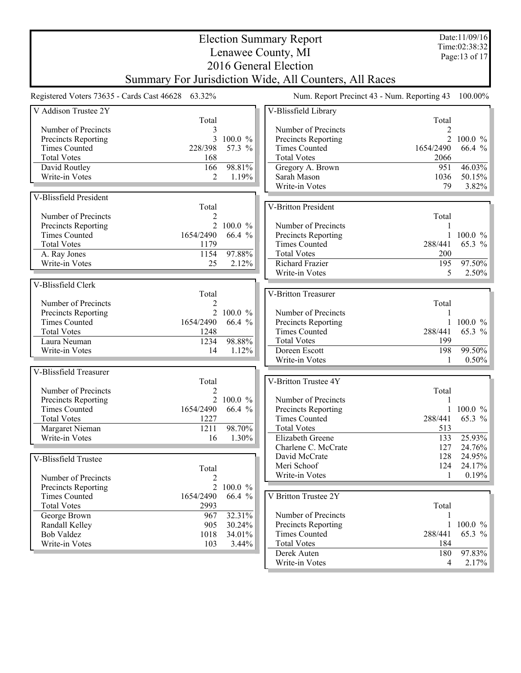| Time:02:38:32<br>Lenawee County, MI<br>Page:13 of 17<br>2016 General Election<br>Summary For Jurisdiction Wide, All Counters, All Races<br>Registered Voters 73635 - Cards Cast 46628 63.32%<br>Num. Report Precinct 43 - Num. Reporting 43<br>$100.00\%$<br>V Addison Trustee 2Y<br>V-Blissfield Library<br>Total<br>Total<br>Number of Precincts<br>3<br>Number of Precincts<br>2 100.0 %<br>Precincts Reporting<br>3<br>$100.0 \%$<br>Precincts Reporting<br><b>Times Counted</b><br>228/398<br>57.3 %<br><b>Times Counted</b><br>1654/2490<br>66.4 %<br><b>Total Votes</b><br>168<br><b>Total Votes</b><br>2066<br>98.81%<br>46.03%<br>David Routley<br>166<br>951<br>Gregory A. Brown<br>Sarah Mason<br>Write-in Votes<br>$\mathfrak{D}$<br>1.19%<br>1036<br>50.15%<br>3.82%<br>Write-in Votes<br>79<br>V-Blissfield President<br>V-Britton President<br>Total<br>Number of Precincts<br>Total<br>Number of Precincts<br>Precincts Reporting<br>2 100.0 $%$<br><b>Times Counted</b><br>66.4 %<br>1654/2490<br>Precincts Reporting<br>$100.0 \%$<br>1<br><b>Times Counted</b><br>65.3 %<br><b>Total Votes</b><br>288/441<br>1179<br>97.88%<br>1154<br><b>Total Votes</b><br>A. Ray Jones<br>200<br>97.50%<br>Richard Frazier<br>195<br>Write-in Votes<br>25<br>2.12%<br>Write-in Votes<br>5<br>2.50%<br>V-Blissfield Clerk<br>V-Britton Treasurer<br>Total<br>Number of Precincts<br>Total<br>2<br>2 100.0 %<br>Precincts Reporting<br>Number of Precincts<br><b>Times Counted</b><br>1654/2490<br>66.4 %<br>Precincts Reporting<br>$100.0 \%$<br>1<br>65.3 %<br><b>Total Votes</b><br><b>Times Counted</b><br>288/441<br>1248<br>98.88%<br><b>Total Votes</b><br>199<br>Laura Neuman<br>1234<br>99.50%<br>Write-in Votes<br>14<br>Doreen Escott<br>198<br>1.12%<br>Write-in Votes<br>0.50%<br>1<br>V-Blissfield Treasurer<br>V-Britton Trustee 4Y<br>Total<br>Number of Precincts<br>Total<br>2<br>2 100.0 %<br>Number of Precincts<br>Precincts Reporting<br>1654/2490 66.4<br>$100.0 \%$<br>Times Counted<br>$\frac{0}{0}$<br>Precincts Reporting<br>65.3 %<br>1227<br><b>Total Votes</b><br>288/441<br>Times Counted<br>1211<br>98.70%<br><b>Total Votes</b><br>513<br>Margaret Nieman<br>25.93%<br>Write-in Votes<br>16<br>1.30%<br>Elizabeth Greene<br>133<br>Charlene C. McCrate<br>127<br>24.76%<br>24.95%<br>David McCrate<br>128<br>V-Blissfield Trustee<br>Meri Schoof<br>24.17%<br>124<br>Total<br>0.19%<br>Write-in Votes<br>1<br>Number of Precincts<br>2<br>$\overline{2}$<br>100.0 %<br>Precincts Reporting<br>V Britton Trustee 2Y<br><b>Times Counted</b><br>1654/2490<br>66.4 %<br>Total<br><b>Total Votes</b><br>2993<br>32.31%<br>Number of Precincts<br>George Brown<br>967<br>30.24%<br>Precincts Reporting<br>1<br>$100.0 \%$<br>905<br>Randall Kelley<br>288/441<br>65.3 %<br><b>Times Counted</b><br><b>Bob Valdez</b><br>1018<br>34.01%<br>Write-in Votes<br>103<br><b>Total Votes</b><br>184<br>$3.44\%$<br>97.83%<br>Derek Auten<br>180<br>2.17%<br>Write-in Votes<br>$\overline{4}$ |  |  |  | <b>Election Summary Report</b> |  | Date:11/09/16 |
|-----------------------------------------------------------------------------------------------------------------------------------------------------------------------------------------------------------------------------------------------------------------------------------------------------------------------------------------------------------------------------------------------------------------------------------------------------------------------------------------------------------------------------------------------------------------------------------------------------------------------------------------------------------------------------------------------------------------------------------------------------------------------------------------------------------------------------------------------------------------------------------------------------------------------------------------------------------------------------------------------------------------------------------------------------------------------------------------------------------------------------------------------------------------------------------------------------------------------------------------------------------------------------------------------------------------------------------------------------------------------------------------------------------------------------------------------------------------------------------------------------------------------------------------------------------------------------------------------------------------------------------------------------------------------------------------------------------------------------------------------------------------------------------------------------------------------------------------------------------------------------------------------------------------------------------------------------------------------------------------------------------------------------------------------------------------------------------------------------------------------------------------------------------------------------------------------------------------------------------------------------------------------------------------------------------------------------------------------------------------------------------------------------------------------------------------------------------------------------------------------------------------------------------------------------------------------------------------------------------------------------------------------------------------------------------------------------------------------------------------------------------------------------------------------------------------------------------------------------------------------------------------------------------------------------------------------------------------------------------------------------------------------|--|--|--|--------------------------------|--|---------------|
|                                                                                                                                                                                                                                                                                                                                                                                                                                                                                                                                                                                                                                                                                                                                                                                                                                                                                                                                                                                                                                                                                                                                                                                                                                                                                                                                                                                                                                                                                                                                                                                                                                                                                                                                                                                                                                                                                                                                                                                                                                                                                                                                                                                                                                                                                                                                                                                                                                                                                                                                                                                                                                                                                                                                                                                                                                                                                                                                                                                                                       |  |  |  |                                |  |               |
|                                                                                                                                                                                                                                                                                                                                                                                                                                                                                                                                                                                                                                                                                                                                                                                                                                                                                                                                                                                                                                                                                                                                                                                                                                                                                                                                                                                                                                                                                                                                                                                                                                                                                                                                                                                                                                                                                                                                                                                                                                                                                                                                                                                                                                                                                                                                                                                                                                                                                                                                                                                                                                                                                                                                                                                                                                                                                                                                                                                                                       |  |  |  |                                |  |               |
|                                                                                                                                                                                                                                                                                                                                                                                                                                                                                                                                                                                                                                                                                                                                                                                                                                                                                                                                                                                                                                                                                                                                                                                                                                                                                                                                                                                                                                                                                                                                                                                                                                                                                                                                                                                                                                                                                                                                                                                                                                                                                                                                                                                                                                                                                                                                                                                                                                                                                                                                                                                                                                                                                                                                                                                                                                                                                                                                                                                                                       |  |  |  |                                |  |               |
|                                                                                                                                                                                                                                                                                                                                                                                                                                                                                                                                                                                                                                                                                                                                                                                                                                                                                                                                                                                                                                                                                                                                                                                                                                                                                                                                                                                                                                                                                                                                                                                                                                                                                                                                                                                                                                                                                                                                                                                                                                                                                                                                                                                                                                                                                                                                                                                                                                                                                                                                                                                                                                                                                                                                                                                                                                                                                                                                                                                                                       |  |  |  |                                |  |               |
|                                                                                                                                                                                                                                                                                                                                                                                                                                                                                                                                                                                                                                                                                                                                                                                                                                                                                                                                                                                                                                                                                                                                                                                                                                                                                                                                                                                                                                                                                                                                                                                                                                                                                                                                                                                                                                                                                                                                                                                                                                                                                                                                                                                                                                                                                                                                                                                                                                                                                                                                                                                                                                                                                                                                                                                                                                                                                                                                                                                                                       |  |  |  |                                |  |               |
|                                                                                                                                                                                                                                                                                                                                                                                                                                                                                                                                                                                                                                                                                                                                                                                                                                                                                                                                                                                                                                                                                                                                                                                                                                                                                                                                                                                                                                                                                                                                                                                                                                                                                                                                                                                                                                                                                                                                                                                                                                                                                                                                                                                                                                                                                                                                                                                                                                                                                                                                                                                                                                                                                                                                                                                                                                                                                                                                                                                                                       |  |  |  |                                |  |               |
|                                                                                                                                                                                                                                                                                                                                                                                                                                                                                                                                                                                                                                                                                                                                                                                                                                                                                                                                                                                                                                                                                                                                                                                                                                                                                                                                                                                                                                                                                                                                                                                                                                                                                                                                                                                                                                                                                                                                                                                                                                                                                                                                                                                                                                                                                                                                                                                                                                                                                                                                                                                                                                                                                                                                                                                                                                                                                                                                                                                                                       |  |  |  |                                |  |               |
|                                                                                                                                                                                                                                                                                                                                                                                                                                                                                                                                                                                                                                                                                                                                                                                                                                                                                                                                                                                                                                                                                                                                                                                                                                                                                                                                                                                                                                                                                                                                                                                                                                                                                                                                                                                                                                                                                                                                                                                                                                                                                                                                                                                                                                                                                                                                                                                                                                                                                                                                                                                                                                                                                                                                                                                                                                                                                                                                                                                                                       |  |  |  |                                |  |               |
|                                                                                                                                                                                                                                                                                                                                                                                                                                                                                                                                                                                                                                                                                                                                                                                                                                                                                                                                                                                                                                                                                                                                                                                                                                                                                                                                                                                                                                                                                                                                                                                                                                                                                                                                                                                                                                                                                                                                                                                                                                                                                                                                                                                                                                                                                                                                                                                                                                                                                                                                                                                                                                                                                                                                                                                                                                                                                                                                                                                                                       |  |  |  |                                |  |               |
|                                                                                                                                                                                                                                                                                                                                                                                                                                                                                                                                                                                                                                                                                                                                                                                                                                                                                                                                                                                                                                                                                                                                                                                                                                                                                                                                                                                                                                                                                                                                                                                                                                                                                                                                                                                                                                                                                                                                                                                                                                                                                                                                                                                                                                                                                                                                                                                                                                                                                                                                                                                                                                                                                                                                                                                                                                                                                                                                                                                                                       |  |  |  |                                |  |               |
|                                                                                                                                                                                                                                                                                                                                                                                                                                                                                                                                                                                                                                                                                                                                                                                                                                                                                                                                                                                                                                                                                                                                                                                                                                                                                                                                                                                                                                                                                                                                                                                                                                                                                                                                                                                                                                                                                                                                                                                                                                                                                                                                                                                                                                                                                                                                                                                                                                                                                                                                                                                                                                                                                                                                                                                                                                                                                                                                                                                                                       |  |  |  |                                |  |               |
|                                                                                                                                                                                                                                                                                                                                                                                                                                                                                                                                                                                                                                                                                                                                                                                                                                                                                                                                                                                                                                                                                                                                                                                                                                                                                                                                                                                                                                                                                                                                                                                                                                                                                                                                                                                                                                                                                                                                                                                                                                                                                                                                                                                                                                                                                                                                                                                                                                                                                                                                                                                                                                                                                                                                                                                                                                                                                                                                                                                                                       |  |  |  |                                |  |               |
|                                                                                                                                                                                                                                                                                                                                                                                                                                                                                                                                                                                                                                                                                                                                                                                                                                                                                                                                                                                                                                                                                                                                                                                                                                                                                                                                                                                                                                                                                                                                                                                                                                                                                                                                                                                                                                                                                                                                                                                                                                                                                                                                                                                                                                                                                                                                                                                                                                                                                                                                                                                                                                                                                                                                                                                                                                                                                                                                                                                                                       |  |  |  |                                |  |               |
|                                                                                                                                                                                                                                                                                                                                                                                                                                                                                                                                                                                                                                                                                                                                                                                                                                                                                                                                                                                                                                                                                                                                                                                                                                                                                                                                                                                                                                                                                                                                                                                                                                                                                                                                                                                                                                                                                                                                                                                                                                                                                                                                                                                                                                                                                                                                                                                                                                                                                                                                                                                                                                                                                                                                                                                                                                                                                                                                                                                                                       |  |  |  |                                |  |               |
|                                                                                                                                                                                                                                                                                                                                                                                                                                                                                                                                                                                                                                                                                                                                                                                                                                                                                                                                                                                                                                                                                                                                                                                                                                                                                                                                                                                                                                                                                                                                                                                                                                                                                                                                                                                                                                                                                                                                                                                                                                                                                                                                                                                                                                                                                                                                                                                                                                                                                                                                                                                                                                                                                                                                                                                                                                                                                                                                                                                                                       |  |  |  |                                |  |               |
|                                                                                                                                                                                                                                                                                                                                                                                                                                                                                                                                                                                                                                                                                                                                                                                                                                                                                                                                                                                                                                                                                                                                                                                                                                                                                                                                                                                                                                                                                                                                                                                                                                                                                                                                                                                                                                                                                                                                                                                                                                                                                                                                                                                                                                                                                                                                                                                                                                                                                                                                                                                                                                                                                                                                                                                                                                                                                                                                                                                                                       |  |  |  |                                |  |               |
|                                                                                                                                                                                                                                                                                                                                                                                                                                                                                                                                                                                                                                                                                                                                                                                                                                                                                                                                                                                                                                                                                                                                                                                                                                                                                                                                                                                                                                                                                                                                                                                                                                                                                                                                                                                                                                                                                                                                                                                                                                                                                                                                                                                                                                                                                                                                                                                                                                                                                                                                                                                                                                                                                                                                                                                                                                                                                                                                                                                                                       |  |  |  |                                |  |               |
|                                                                                                                                                                                                                                                                                                                                                                                                                                                                                                                                                                                                                                                                                                                                                                                                                                                                                                                                                                                                                                                                                                                                                                                                                                                                                                                                                                                                                                                                                                                                                                                                                                                                                                                                                                                                                                                                                                                                                                                                                                                                                                                                                                                                                                                                                                                                                                                                                                                                                                                                                                                                                                                                                                                                                                                                                                                                                                                                                                                                                       |  |  |  |                                |  |               |
|                                                                                                                                                                                                                                                                                                                                                                                                                                                                                                                                                                                                                                                                                                                                                                                                                                                                                                                                                                                                                                                                                                                                                                                                                                                                                                                                                                                                                                                                                                                                                                                                                                                                                                                                                                                                                                                                                                                                                                                                                                                                                                                                                                                                                                                                                                                                                                                                                                                                                                                                                                                                                                                                                                                                                                                                                                                                                                                                                                                                                       |  |  |  |                                |  |               |
|                                                                                                                                                                                                                                                                                                                                                                                                                                                                                                                                                                                                                                                                                                                                                                                                                                                                                                                                                                                                                                                                                                                                                                                                                                                                                                                                                                                                                                                                                                                                                                                                                                                                                                                                                                                                                                                                                                                                                                                                                                                                                                                                                                                                                                                                                                                                                                                                                                                                                                                                                                                                                                                                                                                                                                                                                                                                                                                                                                                                                       |  |  |  |                                |  |               |
|                                                                                                                                                                                                                                                                                                                                                                                                                                                                                                                                                                                                                                                                                                                                                                                                                                                                                                                                                                                                                                                                                                                                                                                                                                                                                                                                                                                                                                                                                                                                                                                                                                                                                                                                                                                                                                                                                                                                                                                                                                                                                                                                                                                                                                                                                                                                                                                                                                                                                                                                                                                                                                                                                                                                                                                                                                                                                                                                                                                                                       |  |  |  |                                |  |               |
|                                                                                                                                                                                                                                                                                                                                                                                                                                                                                                                                                                                                                                                                                                                                                                                                                                                                                                                                                                                                                                                                                                                                                                                                                                                                                                                                                                                                                                                                                                                                                                                                                                                                                                                                                                                                                                                                                                                                                                                                                                                                                                                                                                                                                                                                                                                                                                                                                                                                                                                                                                                                                                                                                                                                                                                                                                                                                                                                                                                                                       |  |  |  |                                |  |               |
|                                                                                                                                                                                                                                                                                                                                                                                                                                                                                                                                                                                                                                                                                                                                                                                                                                                                                                                                                                                                                                                                                                                                                                                                                                                                                                                                                                                                                                                                                                                                                                                                                                                                                                                                                                                                                                                                                                                                                                                                                                                                                                                                                                                                                                                                                                                                                                                                                                                                                                                                                                                                                                                                                                                                                                                                                                                                                                                                                                                                                       |  |  |  |                                |  |               |
|                                                                                                                                                                                                                                                                                                                                                                                                                                                                                                                                                                                                                                                                                                                                                                                                                                                                                                                                                                                                                                                                                                                                                                                                                                                                                                                                                                                                                                                                                                                                                                                                                                                                                                                                                                                                                                                                                                                                                                                                                                                                                                                                                                                                                                                                                                                                                                                                                                                                                                                                                                                                                                                                                                                                                                                                                                                                                                                                                                                                                       |  |  |  |                                |  |               |
|                                                                                                                                                                                                                                                                                                                                                                                                                                                                                                                                                                                                                                                                                                                                                                                                                                                                                                                                                                                                                                                                                                                                                                                                                                                                                                                                                                                                                                                                                                                                                                                                                                                                                                                                                                                                                                                                                                                                                                                                                                                                                                                                                                                                                                                                                                                                                                                                                                                                                                                                                                                                                                                                                                                                                                                                                                                                                                                                                                                                                       |  |  |  |                                |  |               |
|                                                                                                                                                                                                                                                                                                                                                                                                                                                                                                                                                                                                                                                                                                                                                                                                                                                                                                                                                                                                                                                                                                                                                                                                                                                                                                                                                                                                                                                                                                                                                                                                                                                                                                                                                                                                                                                                                                                                                                                                                                                                                                                                                                                                                                                                                                                                                                                                                                                                                                                                                                                                                                                                                                                                                                                                                                                                                                                                                                                                                       |  |  |  |                                |  |               |
|                                                                                                                                                                                                                                                                                                                                                                                                                                                                                                                                                                                                                                                                                                                                                                                                                                                                                                                                                                                                                                                                                                                                                                                                                                                                                                                                                                                                                                                                                                                                                                                                                                                                                                                                                                                                                                                                                                                                                                                                                                                                                                                                                                                                                                                                                                                                                                                                                                                                                                                                                                                                                                                                                                                                                                                                                                                                                                                                                                                                                       |  |  |  |                                |  |               |
|                                                                                                                                                                                                                                                                                                                                                                                                                                                                                                                                                                                                                                                                                                                                                                                                                                                                                                                                                                                                                                                                                                                                                                                                                                                                                                                                                                                                                                                                                                                                                                                                                                                                                                                                                                                                                                                                                                                                                                                                                                                                                                                                                                                                                                                                                                                                                                                                                                                                                                                                                                                                                                                                                                                                                                                                                                                                                                                                                                                                                       |  |  |  |                                |  |               |
|                                                                                                                                                                                                                                                                                                                                                                                                                                                                                                                                                                                                                                                                                                                                                                                                                                                                                                                                                                                                                                                                                                                                                                                                                                                                                                                                                                                                                                                                                                                                                                                                                                                                                                                                                                                                                                                                                                                                                                                                                                                                                                                                                                                                                                                                                                                                                                                                                                                                                                                                                                                                                                                                                                                                                                                                                                                                                                                                                                                                                       |  |  |  |                                |  |               |
|                                                                                                                                                                                                                                                                                                                                                                                                                                                                                                                                                                                                                                                                                                                                                                                                                                                                                                                                                                                                                                                                                                                                                                                                                                                                                                                                                                                                                                                                                                                                                                                                                                                                                                                                                                                                                                                                                                                                                                                                                                                                                                                                                                                                                                                                                                                                                                                                                                                                                                                                                                                                                                                                                                                                                                                                                                                                                                                                                                                                                       |  |  |  |                                |  |               |
|                                                                                                                                                                                                                                                                                                                                                                                                                                                                                                                                                                                                                                                                                                                                                                                                                                                                                                                                                                                                                                                                                                                                                                                                                                                                                                                                                                                                                                                                                                                                                                                                                                                                                                                                                                                                                                                                                                                                                                                                                                                                                                                                                                                                                                                                                                                                                                                                                                                                                                                                                                                                                                                                                                                                                                                                                                                                                                                                                                                                                       |  |  |  |                                |  |               |
|                                                                                                                                                                                                                                                                                                                                                                                                                                                                                                                                                                                                                                                                                                                                                                                                                                                                                                                                                                                                                                                                                                                                                                                                                                                                                                                                                                                                                                                                                                                                                                                                                                                                                                                                                                                                                                                                                                                                                                                                                                                                                                                                                                                                                                                                                                                                                                                                                                                                                                                                                                                                                                                                                                                                                                                                                                                                                                                                                                                                                       |  |  |  |                                |  |               |
|                                                                                                                                                                                                                                                                                                                                                                                                                                                                                                                                                                                                                                                                                                                                                                                                                                                                                                                                                                                                                                                                                                                                                                                                                                                                                                                                                                                                                                                                                                                                                                                                                                                                                                                                                                                                                                                                                                                                                                                                                                                                                                                                                                                                                                                                                                                                                                                                                                                                                                                                                                                                                                                                                                                                                                                                                                                                                                                                                                                                                       |  |  |  |                                |  |               |
|                                                                                                                                                                                                                                                                                                                                                                                                                                                                                                                                                                                                                                                                                                                                                                                                                                                                                                                                                                                                                                                                                                                                                                                                                                                                                                                                                                                                                                                                                                                                                                                                                                                                                                                                                                                                                                                                                                                                                                                                                                                                                                                                                                                                                                                                                                                                                                                                                                                                                                                                                                                                                                                                                                                                                                                                                                                                                                                                                                                                                       |  |  |  |                                |  |               |
|                                                                                                                                                                                                                                                                                                                                                                                                                                                                                                                                                                                                                                                                                                                                                                                                                                                                                                                                                                                                                                                                                                                                                                                                                                                                                                                                                                                                                                                                                                                                                                                                                                                                                                                                                                                                                                                                                                                                                                                                                                                                                                                                                                                                                                                                                                                                                                                                                                                                                                                                                                                                                                                                                                                                                                                                                                                                                                                                                                                                                       |  |  |  |                                |  |               |
|                                                                                                                                                                                                                                                                                                                                                                                                                                                                                                                                                                                                                                                                                                                                                                                                                                                                                                                                                                                                                                                                                                                                                                                                                                                                                                                                                                                                                                                                                                                                                                                                                                                                                                                                                                                                                                                                                                                                                                                                                                                                                                                                                                                                                                                                                                                                                                                                                                                                                                                                                                                                                                                                                                                                                                                                                                                                                                                                                                                                                       |  |  |  |                                |  |               |
|                                                                                                                                                                                                                                                                                                                                                                                                                                                                                                                                                                                                                                                                                                                                                                                                                                                                                                                                                                                                                                                                                                                                                                                                                                                                                                                                                                                                                                                                                                                                                                                                                                                                                                                                                                                                                                                                                                                                                                                                                                                                                                                                                                                                                                                                                                                                                                                                                                                                                                                                                                                                                                                                                                                                                                                                                                                                                                                                                                                                                       |  |  |  |                                |  |               |
|                                                                                                                                                                                                                                                                                                                                                                                                                                                                                                                                                                                                                                                                                                                                                                                                                                                                                                                                                                                                                                                                                                                                                                                                                                                                                                                                                                                                                                                                                                                                                                                                                                                                                                                                                                                                                                                                                                                                                                                                                                                                                                                                                                                                                                                                                                                                                                                                                                                                                                                                                                                                                                                                                                                                                                                                                                                                                                                                                                                                                       |  |  |  |                                |  |               |
|                                                                                                                                                                                                                                                                                                                                                                                                                                                                                                                                                                                                                                                                                                                                                                                                                                                                                                                                                                                                                                                                                                                                                                                                                                                                                                                                                                                                                                                                                                                                                                                                                                                                                                                                                                                                                                                                                                                                                                                                                                                                                                                                                                                                                                                                                                                                                                                                                                                                                                                                                                                                                                                                                                                                                                                                                                                                                                                                                                                                                       |  |  |  |                                |  |               |
|                                                                                                                                                                                                                                                                                                                                                                                                                                                                                                                                                                                                                                                                                                                                                                                                                                                                                                                                                                                                                                                                                                                                                                                                                                                                                                                                                                                                                                                                                                                                                                                                                                                                                                                                                                                                                                                                                                                                                                                                                                                                                                                                                                                                                                                                                                                                                                                                                                                                                                                                                                                                                                                                                                                                                                                                                                                                                                                                                                                                                       |  |  |  |                                |  |               |
|                                                                                                                                                                                                                                                                                                                                                                                                                                                                                                                                                                                                                                                                                                                                                                                                                                                                                                                                                                                                                                                                                                                                                                                                                                                                                                                                                                                                                                                                                                                                                                                                                                                                                                                                                                                                                                                                                                                                                                                                                                                                                                                                                                                                                                                                                                                                                                                                                                                                                                                                                                                                                                                                                                                                                                                                                                                                                                                                                                                                                       |  |  |  |                                |  |               |
|                                                                                                                                                                                                                                                                                                                                                                                                                                                                                                                                                                                                                                                                                                                                                                                                                                                                                                                                                                                                                                                                                                                                                                                                                                                                                                                                                                                                                                                                                                                                                                                                                                                                                                                                                                                                                                                                                                                                                                                                                                                                                                                                                                                                                                                                                                                                                                                                                                                                                                                                                                                                                                                                                                                                                                                                                                                                                                                                                                                                                       |  |  |  |                                |  |               |
|                                                                                                                                                                                                                                                                                                                                                                                                                                                                                                                                                                                                                                                                                                                                                                                                                                                                                                                                                                                                                                                                                                                                                                                                                                                                                                                                                                                                                                                                                                                                                                                                                                                                                                                                                                                                                                                                                                                                                                                                                                                                                                                                                                                                                                                                                                                                                                                                                                                                                                                                                                                                                                                                                                                                                                                                                                                                                                                                                                                                                       |  |  |  |                                |  |               |
|                                                                                                                                                                                                                                                                                                                                                                                                                                                                                                                                                                                                                                                                                                                                                                                                                                                                                                                                                                                                                                                                                                                                                                                                                                                                                                                                                                                                                                                                                                                                                                                                                                                                                                                                                                                                                                                                                                                                                                                                                                                                                                                                                                                                                                                                                                                                                                                                                                                                                                                                                                                                                                                                                                                                                                                                                                                                                                                                                                                                                       |  |  |  |                                |  |               |
|                                                                                                                                                                                                                                                                                                                                                                                                                                                                                                                                                                                                                                                                                                                                                                                                                                                                                                                                                                                                                                                                                                                                                                                                                                                                                                                                                                                                                                                                                                                                                                                                                                                                                                                                                                                                                                                                                                                                                                                                                                                                                                                                                                                                                                                                                                                                                                                                                                                                                                                                                                                                                                                                                                                                                                                                                                                                                                                                                                                                                       |  |  |  |                                |  |               |
|                                                                                                                                                                                                                                                                                                                                                                                                                                                                                                                                                                                                                                                                                                                                                                                                                                                                                                                                                                                                                                                                                                                                                                                                                                                                                                                                                                                                                                                                                                                                                                                                                                                                                                                                                                                                                                                                                                                                                                                                                                                                                                                                                                                                                                                                                                                                                                                                                                                                                                                                                                                                                                                                                                                                                                                                                                                                                                                                                                                                                       |  |  |  |                                |  |               |
|                                                                                                                                                                                                                                                                                                                                                                                                                                                                                                                                                                                                                                                                                                                                                                                                                                                                                                                                                                                                                                                                                                                                                                                                                                                                                                                                                                                                                                                                                                                                                                                                                                                                                                                                                                                                                                                                                                                                                                                                                                                                                                                                                                                                                                                                                                                                                                                                                                                                                                                                                                                                                                                                                                                                                                                                                                                                                                                                                                                                                       |  |  |  |                                |  |               |
|                                                                                                                                                                                                                                                                                                                                                                                                                                                                                                                                                                                                                                                                                                                                                                                                                                                                                                                                                                                                                                                                                                                                                                                                                                                                                                                                                                                                                                                                                                                                                                                                                                                                                                                                                                                                                                                                                                                                                                                                                                                                                                                                                                                                                                                                                                                                                                                                                                                                                                                                                                                                                                                                                                                                                                                                                                                                                                                                                                                                                       |  |  |  |                                |  |               |
|                                                                                                                                                                                                                                                                                                                                                                                                                                                                                                                                                                                                                                                                                                                                                                                                                                                                                                                                                                                                                                                                                                                                                                                                                                                                                                                                                                                                                                                                                                                                                                                                                                                                                                                                                                                                                                                                                                                                                                                                                                                                                                                                                                                                                                                                                                                                                                                                                                                                                                                                                                                                                                                                                                                                                                                                                                                                                                                                                                                                                       |  |  |  |                                |  |               |
|                                                                                                                                                                                                                                                                                                                                                                                                                                                                                                                                                                                                                                                                                                                                                                                                                                                                                                                                                                                                                                                                                                                                                                                                                                                                                                                                                                                                                                                                                                                                                                                                                                                                                                                                                                                                                                                                                                                                                                                                                                                                                                                                                                                                                                                                                                                                                                                                                                                                                                                                                                                                                                                                                                                                                                                                                                                                                                                                                                                                                       |  |  |  |                                |  |               |
|                                                                                                                                                                                                                                                                                                                                                                                                                                                                                                                                                                                                                                                                                                                                                                                                                                                                                                                                                                                                                                                                                                                                                                                                                                                                                                                                                                                                                                                                                                                                                                                                                                                                                                                                                                                                                                                                                                                                                                                                                                                                                                                                                                                                                                                                                                                                                                                                                                                                                                                                                                                                                                                                                                                                                                                                                                                                                                                                                                                                                       |  |  |  |                                |  |               |
|                                                                                                                                                                                                                                                                                                                                                                                                                                                                                                                                                                                                                                                                                                                                                                                                                                                                                                                                                                                                                                                                                                                                                                                                                                                                                                                                                                                                                                                                                                                                                                                                                                                                                                                                                                                                                                                                                                                                                                                                                                                                                                                                                                                                                                                                                                                                                                                                                                                                                                                                                                                                                                                                                                                                                                                                                                                                                                                                                                                                                       |  |  |  |                                |  |               |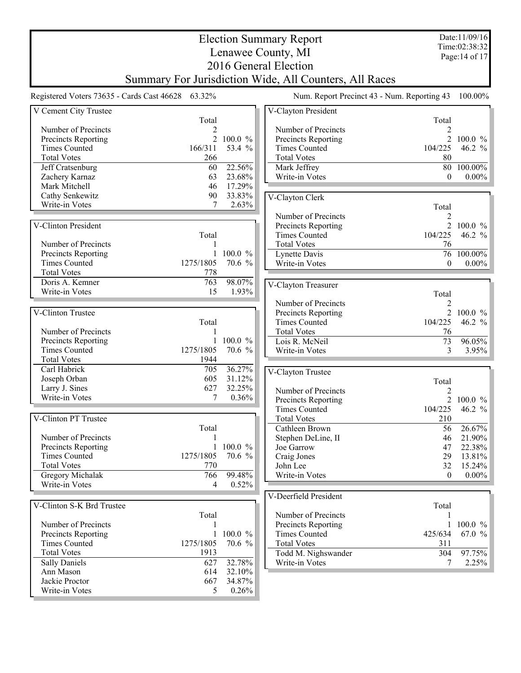|                                    | <b>Election Summary Report</b>                         |                 |                                             |                | Date:11/09/16                   |  |  |  |  |
|------------------------------------|--------------------------------------------------------|-----------------|---------------------------------------------|----------------|---------------------------------|--|--|--|--|
|                                    |                                                        |                 | Lenawee County, MI                          |                | Time:02:38:32<br>Page: 14 of 17 |  |  |  |  |
| 2016 General Election              |                                                        |                 |                                             |                |                                 |  |  |  |  |
|                                    | Summary For Jurisdiction Wide, All Counters, All Races |                 |                                             |                |                                 |  |  |  |  |
|                                    |                                                        |                 |                                             |                |                                 |  |  |  |  |
|                                    | Registered Voters 73635 - Cards Cast 46628 63.32%      |                 | Num. Report Precinct 43 - Num. Reporting 43 |                | 100.00%                         |  |  |  |  |
| V Cement City Trustee              |                                                        |                 | V-Clayton President                         |                |                                 |  |  |  |  |
|                                    | Total                                                  |                 |                                             | Total          |                                 |  |  |  |  |
| Number of Precincts                | 2                                                      |                 | Number of Precincts                         | 2              |                                 |  |  |  |  |
| Precincts Reporting                |                                                        | 2 100.0 %       | Precincts Reporting                         |                | 2 100.0 $\%$                    |  |  |  |  |
| <b>Times Counted</b>               | 166/311                                                | 53.4 %          | <b>Times Counted</b>                        | 104/225        | 46.2 $%$                        |  |  |  |  |
| <b>Total Votes</b>                 | 266<br>60                                              | 22.56%          | <b>Total Votes</b>                          | 80<br>80       | 100.00%                         |  |  |  |  |
| Jeff Cratsenburg<br>Zachery Karnaz | 63                                                     | 23.68%          | Mark Jeffrey<br>Write-in Votes              | $\theta$       | $0.00\%$                        |  |  |  |  |
| Mark Mitchell                      | 46                                                     | 17.29%          |                                             |                |                                 |  |  |  |  |
| Cathy Senkewitz                    | 90                                                     | 33.83%          | V-Clayton Clerk                             |                |                                 |  |  |  |  |
| Write-in Votes                     | 7                                                      | 2.63%           |                                             | Total          |                                 |  |  |  |  |
|                                    |                                                        |                 | Number of Precincts                         | 2              |                                 |  |  |  |  |
| V-Clinton President                |                                                        |                 | Precincts Reporting                         | $\overline{2}$ | $100.0 \%$                      |  |  |  |  |
|                                    | Total                                                  |                 | <b>Times Counted</b>                        | 104/225        | 46.2 $%$                        |  |  |  |  |
| Number of Precincts                |                                                        |                 | <b>Total Votes</b>                          | 76             |                                 |  |  |  |  |
| Precincts Reporting                | 1                                                      | 100.0 %         | Lynette Davis                               |                | 76 100.00%                      |  |  |  |  |
| <b>Times Counted</b>               | 1275/1805                                              | 70.6 %          | Write-in Votes                              | $\theta$       | $0.00\%$                        |  |  |  |  |
| <b>Total Votes</b>                 | 778                                                    |                 |                                             |                |                                 |  |  |  |  |
| Doris A. Kemner                    | 763                                                    | 98.07%          | V-Clayton Treasurer                         |                |                                 |  |  |  |  |
| Write-in Votes                     | 15                                                     | 1.93%           |                                             | Total          |                                 |  |  |  |  |
|                                    |                                                        |                 | Number of Precincts                         | $\overline{2}$ |                                 |  |  |  |  |
| V-Clinton Trustee                  |                                                        |                 | Precincts Reporting                         | $\overline{2}$ | $100.0 \%$                      |  |  |  |  |
|                                    | Total                                                  |                 | <b>Times Counted</b>                        | 104/225        | 46.2 $%$                        |  |  |  |  |
| Number of Precincts                |                                                        |                 | <b>Total Votes</b>                          | 76             |                                 |  |  |  |  |
| Precincts Reporting                | 1                                                      | 100.0 %         | Lois R. McNeil                              | 73             | 96.05%                          |  |  |  |  |
| <b>Times Counted</b>               | 1275/1805<br>1944                                      | 70.6 %          | Write-in Votes                              | 3              | 3.95%                           |  |  |  |  |
| <b>Total Votes</b><br>Carl Habrick | 705                                                    | 36.27%          |                                             |                |                                 |  |  |  |  |
| Joseph Orban                       | 605                                                    | 31.12%          | V-Clayton Trustee                           |                |                                 |  |  |  |  |
| Larry J. Sines                     | 627                                                    | 32.25%          |                                             | Total          |                                 |  |  |  |  |
| Write-in Votes                     | 7                                                      | 0.36%           | Number of Precincts                         | 2<br>2         | $100.0 \%$                      |  |  |  |  |
|                                    |                                                        |                 | Precincts Reporting<br><b>Times Counted</b> | 104/225        | 46.2 %                          |  |  |  |  |
| V-Clinton PT Trustee               |                                                        |                 | <b>Total Votes</b>                          | 210            |                                 |  |  |  |  |
|                                    | Total                                                  |                 | Cathleen Brown                              | 56             | 26.67%                          |  |  |  |  |
| Number of Precincts                |                                                        |                 | Stephen DeLine, II                          | 46             | 21.90%                          |  |  |  |  |
| Precincts Reporting                |                                                        | 1 100.0 $\%$    | Joe Garrow                                  | 47             | 22.38%                          |  |  |  |  |
| <b>Times Counted</b>               | 1275/1805                                              | 70.6 %          | Craig Jones                                 | 29             | 13.81%                          |  |  |  |  |
| <b>Total Votes</b>                 | 770                                                    |                 | John Lee                                    | 32             | $15.24\%$                       |  |  |  |  |
| <b>Gregory Michalak</b>            | 766                                                    | 99.48%          | Write-in Votes                              | $\theta$       | $0.00\%$                        |  |  |  |  |
| Write-in Votes                     | 4                                                      | 0.52%           |                                             |                |                                 |  |  |  |  |
|                                    |                                                        |                 | V-Deerfield President                       |                |                                 |  |  |  |  |
| V-Clinton S-K Brd Trustee          |                                                        |                 |                                             | Total          |                                 |  |  |  |  |
|                                    | Total                                                  |                 | Number of Precincts                         |                |                                 |  |  |  |  |
| Number of Precincts                |                                                        |                 | Precincts Reporting                         | 1              | $100.0 \%$                      |  |  |  |  |
| Precincts Reporting                | 1                                                      | 100.0 %         | <b>Times Counted</b>                        | 425/634        | 67.0 $%$                        |  |  |  |  |
| <b>Times Counted</b>               | 1275/1805                                              | 70.6 %          | <b>Total Votes</b>                          | 311            |                                 |  |  |  |  |
| <b>Total Votes</b>                 | 1913                                                   |                 | Todd M. Nighswander                         | 304            | 97.75%                          |  |  |  |  |
| <b>Sally Daniels</b>               | 627                                                    | 32.78%          | Write-in Votes                              | 7              | 2.25%                           |  |  |  |  |
| Ann Mason<br>Jackie Proctor        | 614                                                    | 32.10%          |                                             |                |                                 |  |  |  |  |
| Write-in Votes                     | 667<br>5                                               | 34.87%<br>0.26% |                                             |                |                                 |  |  |  |  |
|                                    |                                                        |                 |                                             |                |                                 |  |  |  |  |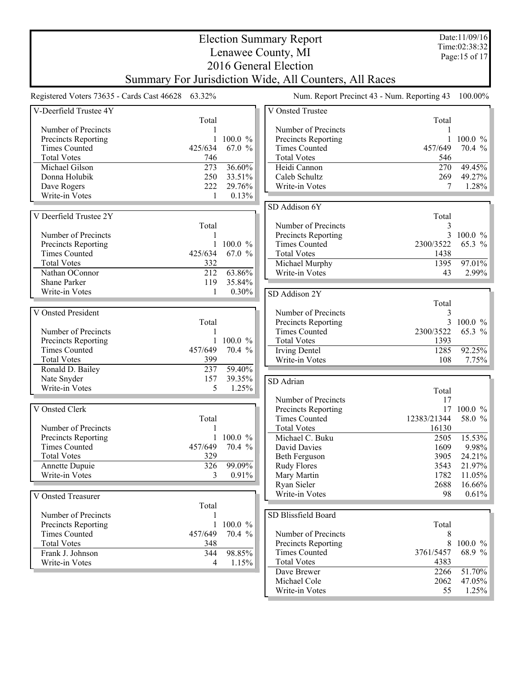|                                                   |                                                        |              |                  |  | <b>Election Summary Report</b>              |  |                   | Date:11/09/16   |  |
|---------------------------------------------------|--------------------------------------------------------|--------------|------------------|--|---------------------------------------------|--|-------------------|-----------------|--|
|                                                   |                                                        |              |                  |  | Lenawee County, MI                          |  |                   | Time:02:38:32   |  |
|                                                   |                                                        |              |                  |  |                                             |  |                   | Page: 15 of 17  |  |
|                                                   | 2016 General Election                                  |              |                  |  |                                             |  |                   |                 |  |
|                                                   | Summary For Jurisdiction Wide, All Counters, All Races |              |                  |  |                                             |  |                   |                 |  |
| Registered Voters 73635 - Cards Cast 46628 63.32% |                                                        |              |                  |  | Num. Report Precinct 43 - Num. Reporting 43 |  |                   | 100.00%         |  |
| V-Deerfield Trustee 4Y                            |                                                        |              |                  |  | V Onsted Trustee                            |  |                   |                 |  |
|                                                   |                                                        | Total        |                  |  |                                             |  | Total             |                 |  |
| Number of Precincts                               |                                                        |              |                  |  | Number of Precincts                         |  |                   |                 |  |
| Precincts Reporting                               |                                                        |              | 100.0 %          |  | Precincts Reporting                         |  |                   | $100.0 \%$      |  |
| <b>Times Counted</b>                              | 425/634                                                |              | 67.0 %           |  | <b>Times Counted</b>                        |  | 457/649           | 70.4 %          |  |
| <b>Total Votes</b>                                |                                                        | 746          |                  |  | <b>Total Votes</b>                          |  | 546               |                 |  |
| Michael Gilson                                    |                                                        | 273          | 36.60%           |  | Heidi Cannon                                |  | 270               | 49.45%          |  |
| Donna Holubik                                     |                                                        | 250<br>222   | 33.51%<br>29.76% |  | Caleb Schultz                               |  | 269<br>7          | 49.27%<br>1.28% |  |
| Dave Rogers<br>Write-in Votes                     |                                                        | 1            | 0.13%            |  | Write-in Votes                              |  |                   |                 |  |
|                                                   |                                                        |              |                  |  | SD Addison 6Y                               |  |                   |                 |  |
| V Deerfield Trustee 2Y                            |                                                        |              |                  |  |                                             |  | Total             |                 |  |
|                                                   |                                                        | Total        |                  |  | Number of Precincts                         |  | 3                 |                 |  |
| Number of Precincts                               |                                                        |              |                  |  | Precincts Reporting                         |  |                   | 3 100.0 %       |  |
| Precincts Reporting                               |                                                        | 1            | 100.0 %          |  | <b>Times Counted</b>                        |  | 2300/3522         | 65.3 %          |  |
| <b>Times Counted</b>                              | 425/634                                                |              | 67.0 %           |  | <b>Total Votes</b>                          |  | 1438              |                 |  |
| <b>Total Votes</b>                                |                                                        | 332          |                  |  | Michael Murphy                              |  | 1395              | 97.01%          |  |
| Nathan OConnor                                    |                                                        | 212          | 63.86%           |  | Write-in Votes                              |  | 43                | 2.99%           |  |
| Shane Parker                                      |                                                        | 119          | 35.84%           |  |                                             |  |                   |                 |  |
| Write-in Votes                                    |                                                        | 1            | 0.30%            |  | SD Addison 2Y                               |  |                   |                 |  |
|                                                   |                                                        |              |                  |  |                                             |  | Total             |                 |  |
| V Onsted President                                |                                                        |              |                  |  | Number of Precincts                         |  | 3                 |                 |  |
|                                                   |                                                        | Total        |                  |  | Precincts Reporting                         |  | 3                 | $100.0 \%$      |  |
| Number of Precincts                               |                                                        |              |                  |  | <b>Times Counted</b>                        |  | 2300/3522         | 65.3 %          |  |
| Precincts Reporting                               |                                                        | $\mathbf{1}$ | 100.0 %          |  | <b>Total Votes</b>                          |  | 1393              |                 |  |
| <b>Times Counted</b>                              | 457/649                                                |              | 70.4 %           |  | <b>Irving Dentel</b>                        |  | 1285              | 92.25%          |  |
| <b>Total Votes</b>                                |                                                        | 399          |                  |  | Write-in Votes                              |  | 108               | 7.75%           |  |
| Ronald D. Bailey                                  |                                                        | 237          | 59.40%           |  |                                             |  |                   |                 |  |
| Nate Snyder                                       |                                                        | 157          | 39.35%           |  | SD Adrian                                   |  |                   |                 |  |
| Write-in Votes                                    |                                                        | 5            | 1.25%            |  |                                             |  | Total             |                 |  |
|                                                   |                                                        |              |                  |  | Number of Precincts                         |  | 17                |                 |  |
| V Onsted Clerk                                    |                                                        |              |                  |  | Precincts Reporting                         |  |                   | 17 100.0 %      |  |
|                                                   |                                                        | Total        |                  |  | <b>Times Counted</b>                        |  | 12383/21344       | 58.0 %          |  |
| Number of Precincts                               |                                                        | 1            |                  |  | <b>Total Votes</b>                          |  | 16130             |                 |  |
| Precincts Reporting                               |                                                        | $\mathbf{1}$ | 100.0 %          |  | Michael C. Buku                             |  | 2505              | 15.53%          |  |
| <b>Times Counted</b>                              | 457/649                                                |              | 70.4 %           |  | David Davies                                |  | 1609              | 9.98%           |  |
| <b>Total Votes</b>                                |                                                        | 329          |                  |  | <b>Beth Ferguson</b>                        |  | 3905              | 24.21%          |  |
| Annette Dupuie                                    |                                                        | 326          | 99.09%           |  | <b>Rudy Flores</b>                          |  | 3543              | 21.97%          |  |
| Write-in Votes                                    |                                                        | 3            | 0.91%            |  | Mary Martin                                 |  | 1782              | 11.05%          |  |
|                                                   |                                                        |              |                  |  | Ryan Sieler                                 |  | 2688              | 16.66%          |  |
| V Onsted Treasurer                                |                                                        |              |                  |  | Write-in Votes                              |  | 98                | $0.61\%$        |  |
|                                                   |                                                        | Total        |                  |  |                                             |  |                   |                 |  |
| Number of Precincts                               |                                                        |              |                  |  | SD Blissfield Board                         |  |                   |                 |  |
| <b>Precincts Reporting</b>                        |                                                        | 1            | 100.0 %          |  |                                             |  | Total             |                 |  |
| <b>Times Counted</b>                              | 457/649                                                |              | 70.4 %           |  | Number of Precincts                         |  | 8                 |                 |  |
| <b>Total Votes</b>                                |                                                        | 348          |                  |  | Precincts Reporting                         |  | 8                 | $100.0 \%$      |  |
| Frank J. Johnson                                  |                                                        | 344          | 98.85%           |  | <b>Times Counted</b><br><b>Total Votes</b>  |  | 3761/5457<br>4383 | 68.9 %          |  |
| Write-in Votes                                    |                                                        | 4            | 1.15%            |  | Dave Brewer                                 |  | 2266              | 51.70%          |  |
|                                                   |                                                        |              |                  |  | Michael Cole                                |  | 2062              | 47.05%          |  |
|                                                   |                                                        |              |                  |  | Write-in Votes                              |  | 55                | 1.25%           |  |
|                                                   |                                                        |              |                  |  |                                             |  |                   |                 |  |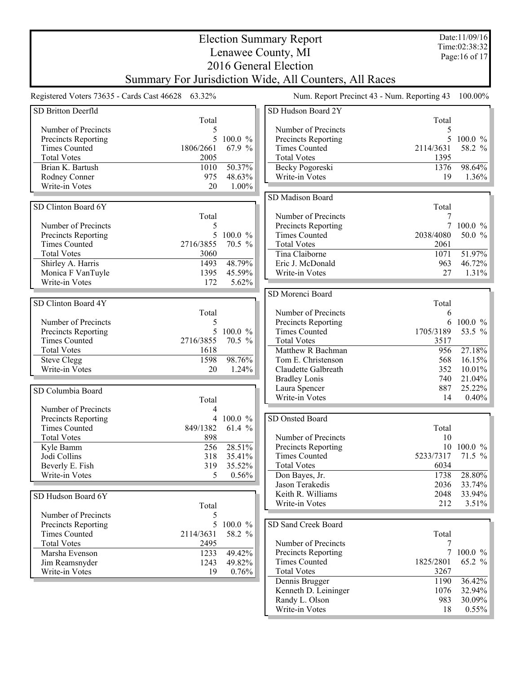|                                     |                                                        |                  | <b>Election Summary Report</b>              |                                             | Date:11/09/16           |
|-------------------------------------|--------------------------------------------------------|------------------|---------------------------------------------|---------------------------------------------|-------------------------|
|                                     |                                                        |                  | Lenawee County, MI                          |                                             | Time:02:38:32           |
|                                     |                                                        |                  |                                             |                                             | Page: 16 of 17          |
|                                     |                                                        |                  | 2016 General Election                       |                                             |                         |
|                                     | Summary For Jurisdiction Wide, All Counters, All Races |                  |                                             |                                             |                         |
|                                     | Registered Voters 73635 - Cards Cast 46628 63.32%      |                  |                                             | Num. Report Precinct 43 - Num. Reporting 43 | 100.00%                 |
| SD Britton Deerfld                  |                                                        |                  | SD Hudson Board 2Y                          |                                             |                         |
|                                     | Total                                                  |                  |                                             | Total                                       |                         |
| Number of Precincts                 | 5                                                      |                  | Number of Precincts                         | 5                                           |                         |
| Precincts Reporting                 | 5                                                      | 100.0 %          | Precincts Reporting                         |                                             | $100.0 \%$              |
| <b>Times Counted</b>                | 1806/2661                                              | 67.9 %           | <b>Times Counted</b>                        | 2114/3631                                   | 58.2 %                  |
| <b>Total Votes</b>                  | 2005                                                   |                  | <b>Total Votes</b>                          | 1395                                        |                         |
| Brian K. Bartush                    | 1010                                                   | 50.37%           | Becky Pogoreski                             | 1376                                        | 98.64%                  |
| Rodney Conner                       | 975                                                    | 48.63%           | Write-in Votes                              | 19                                          | 1.36%                   |
| Write-in Votes                      | 20                                                     | 1.00%            |                                             |                                             |                         |
|                                     |                                                        |                  | SD Madison Board                            |                                             |                         |
| SD Clinton Board 6Y                 |                                                        |                  |                                             | Total                                       |                         |
|                                     | Total                                                  |                  | Number of Precincts                         |                                             |                         |
| Number of Precincts                 | 5                                                      |                  | Precincts Reporting                         |                                             | 7 100.0 %               |
| Precincts Reporting                 | 5                                                      | 100.0 %          | <b>Times Counted</b>                        | 2038/4080                                   | 50.0 %                  |
| <b>Times Counted</b>                | 2716/3855                                              | 70.5 %           | <b>Total Votes</b>                          | 2061                                        |                         |
| <b>Total Votes</b>                  | 3060                                                   |                  | Tina Claiborne                              | 1071                                        | 51.97%                  |
| Shirley A. Harris                   | 1493                                                   | 48.79%           | Eric J. McDonald                            | 963<br>27                                   | 46.72%                  |
| Monica F VanTuyle<br>Write-in Votes | 1395                                                   | 45.59%           | Write-in Votes                              |                                             | 1.31%                   |
|                                     | 172                                                    | 5.62%            |                                             |                                             |                         |
|                                     |                                                        |                  | SD Morenci Board                            |                                             |                         |
| SD Clinton Board 4Y                 |                                                        |                  |                                             | Total                                       |                         |
|                                     | Total                                                  |                  | Number of Precincts                         | 6                                           |                         |
| Number of Precincts                 | 5                                                      |                  | Precincts Reporting                         | 6                                           | $100.0 \%$              |
| Precincts Reporting                 | 5                                                      | 100.0 %          | <b>Times Counted</b>                        | 1705/3189                                   | 53.5 %                  |
| <b>Times Counted</b>                | 2716/3855                                              | 70.5 %           | <b>Total Votes</b>                          | 3517                                        |                         |
| <b>Total Votes</b>                  | 1618                                                   |                  | Matthew R Bachman                           | 956                                         | $27.18\%$               |
| <b>Steve Clegg</b>                  | 1598                                                   | 98.76%           | Tom E. Christenson                          | 568                                         | 16.15%                  |
| Write-in Votes                      | 20                                                     | 1.24%            | Claudette Galbreath                         | 352                                         | 10.01%                  |
|                                     |                                                        |                  | <b>Bradley Lonis</b>                        | 740                                         | 21.04%                  |
| SD Columbia Board                   |                                                        |                  | Laura Spencer<br>Write-in Votes             | 887<br>14                                   | 25.22%<br>0.40%         |
|                                     | Total                                                  |                  |                                             |                                             |                         |
| Number of Precincts                 | 4                                                      |                  |                                             |                                             |                         |
| Precincts Reporting                 | 4                                                      | $100.0 \%$       | SD Onsted Board                             |                                             |                         |
| <b>Times Counted</b>                | 849/1382                                               | 61.4 %           |                                             | Total                                       |                         |
| <b>Total Votes</b>                  | 898                                                    |                  | Number of Precincts                         | 10                                          |                         |
| Kyle Bamm                           | 256                                                    | 28.51%           | Precincts Reporting<br><b>Times Counted</b> | 5233/7317                                   | 10 100.0 %<br>$71.5 \%$ |
| Jodi Collins                        | 318                                                    | 35.41%<br>35.52% | <b>Total Votes</b>                          | 6034                                        |                         |
| Beverly E. Fish<br>Write-in Votes   | 319                                                    | 0.56%            |                                             | 1738                                        | 28.80%                  |
|                                     | 5                                                      |                  | Don Bayes, Jr.<br>Jason Terakedis           |                                             | 33.74%                  |
|                                     |                                                        |                  | Keith R. Williams                           | 2036<br>2048                                | 33.94%                  |
| SD Hudson Board 6Y                  |                                                        |                  | Write-in Votes                              | 212                                         | 3.51%                   |
|                                     | Total                                                  |                  |                                             |                                             |                         |
| Number of Precincts                 | 5                                                      |                  |                                             |                                             |                         |
| Precincts Reporting                 | 5                                                      | 100.0 %          | SD Sand Creek Board                         |                                             |                         |
| <b>Times Counted</b>                | 2114/3631                                              | 58.2 %           |                                             | Total                                       |                         |
| <b>Total Votes</b>                  | 2495                                                   |                  | Number of Precincts                         |                                             |                         |
| Marsha Evenson                      | 1233                                                   | 49.42%           | Precincts Reporting<br><b>Times Counted</b> | 7<br>1825/2801                              | $100.0 \%$<br>65.2 %    |
| Jim Reamsnyder                      | 1243                                                   | 49.82%           |                                             |                                             |                         |
| Write-in Votes                      | 19                                                     | 0.76%            | <b>Total Votes</b>                          | 3267                                        |                         |
|                                     |                                                        |                  | Dennis Brugger                              | 1190<br>1076                                | 36.42%<br>32.94%        |
|                                     |                                                        |                  | Kenneth D. Leininger<br>Randy L. Olson      | 983                                         | 30.09%                  |
|                                     |                                                        |                  | Write-in Votes                              | 18                                          | $0.55\%$                |
|                                     |                                                        |                  |                                             |                                             |                         |